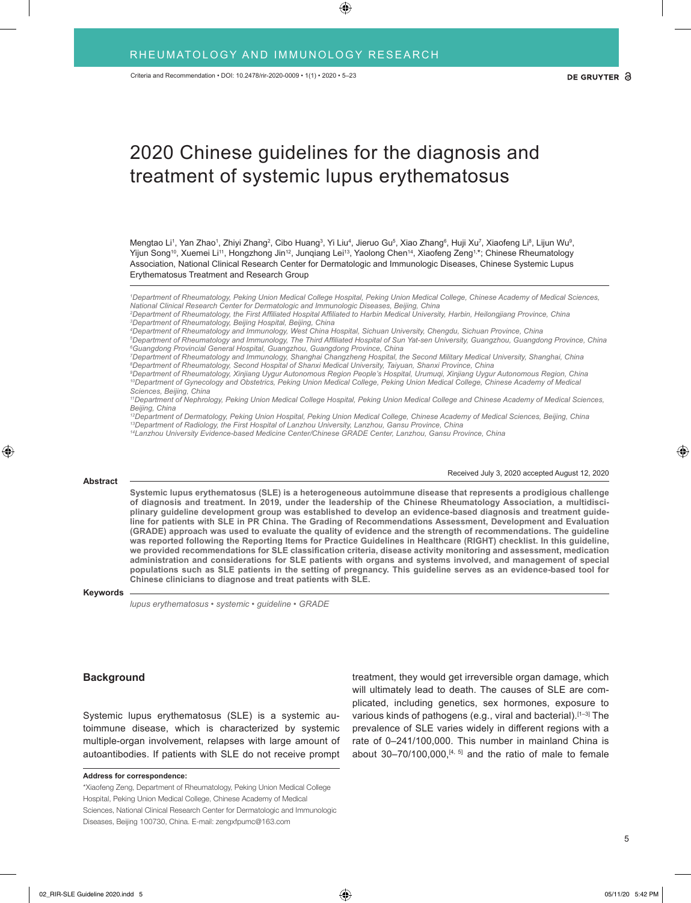# 2020 Chinese guidelines for the diagnosis and treatment of systemic lupus erythematosus

Mengtao Li<sup>1</sup>, Yan Zhao1, Zhiyi Zhang<sup>2</sup>, Cibo Huang<sup>3</sup>, Yi Liu<sup>4</sup>, Jieruo Gu<sup>5</sup>, Xiao Zhang<sup>6</sup>, Huji Xu<sup>7</sup>, Xiaofeng Li<sup>8</sup>, Lijun Wu<sup>9</sup>, Yijun Song<sup>10</sup>, Xuemei Li<sup>11</sup>, Hongzhong Jin<sup>12</sup>, Junqiang Lei<sup>13</sup>, Yaolong Chen<sup>14</sup>, Xiaofeng Zeng<sup>1,\*</sup>; Chinese Rheumatology Association, National Clinical Research Center for Dermatologic and Immunologic Diseases, Chinese Systemic Lupus Erythematosus Treatment and Research Group

*1 Department of Rheumatology, Peking Union Medical College Hospital, Peking Union Medical College, Chinese Academy of Medical Sciences,*  National Clinical Research Center for Dermatologic and Immunologic Diseases, Beijing, China<br><sup>2</sup>Department of Rheumatology, the First Affiliated Hospital Affiliated to Harbin Medical University, Harbin, Heilongjiang Provinc

*3 Department of Rheumatology, Beijing Hospital, Beijing, China 4 Department of Rheumatology and Immunology, West China Hospital, Sichuan University, Chengdu, Sichuan Province, China*

*5 Department of Rheumatology and Immunology, The Third Affiliated Hospital of Sun Yat-sen University, Guangzhou, Guangdong Province, China 6 Guangdong Provincial General Hospital, Guangzhou, Guangdong Province, China*

*7 Department of Rheumatology and Immunology, Shanghai Changzheng Hospital, the Second Military Medical University, Shanghai, China 8 Department of Rheumatology, Second Hospital of Shanxi Medical University, Taiyuan, Shanxi Province, China*

*9 Department of Rheumatology, Xinjiang Uygur Autonomous Region People's Hospital, Urumuqi, Xinjiang Uygur Autonomous Region, China <sup>10</sup>Department of Gynecology and Obstetrics, Peking Union Medical College, Peking Union Medical College, Chinese Academy of Medical Sciences, Beijing, China*

*11Department of Nephrology, Peking Union Medical College Hospital, Peking Union Medical College and Chinese Academy of Medical Sciences, Beijing, China*

*12Department of Dermatology, Peking Union Hospital, Peking Union Medical College, Chinese Academy of Medical Sciences, Beijing, China <sup>13</sup>Department of Radiology, the First Hospital of Lanzhou University, Lanzhou, Gansu Province, China <sup>14</sup>Lanzhou University Evidence-based Medicine Center/Chinese GRADE Center, Lanzhou, Gansu Province, China*

#### **Abstract**

Received July 3, 2020 accepted August 12, 2020

**Systemic lupus erythematosus (SLE) is a heterogeneous autoimmune disease that represents a prodigious challenge of diagnosis and treatment. In 2019, under the leadership of the Chinese Rheumatology Association, a multidisciplinary guideline development group was established to develop an evidence-based diagnosis and treatment guideline for patients with SLE in PR China. The Grading of Recommendations Assessment, Development and Evaluation (GRADE) approach was used to evaluate the quality of evidence and the strength of recommendations. The guideline was reported following the Reporting Items for Practice Guidelines in Healthcare (RIGHT) checklist. In this guideline, we provided recommendations for SLE classification criteria, disease activity monitoring and assessment, medication administration and considerations for SLE patients with organs and systems involved, and management of special populations such as SLE patients in the setting of pregnancy. This guideline serves as an evidence-based tool for Chinese clinicians to diagnose and treat patients with SLE.**

### **Keywords**

*lupus erythematosus • systemic • guideline • GRADE*

## **Background**

Systemic lupus erythematosus (SLE) is a systemic autoimmune disease, which is characterized by systemic multiple-organ involvement, relapses with large amount of autoantibodies. If patients with SLE do not receive prompt

**Address for correspondence:**

\*Xiaofeng Zeng, Department of Rheumatology, Peking Union Medical College Hospital, Peking Union Medical College, Chinese Academy of Medical Sciences, National Clinical Research Center for Dermatologic and Immunologic Diseases, Beijing 100730, China. E-mail: zengxfpumc@163.com

treatment, they would get irreversible organ damage, which will ultimately lead to death. The causes of SLE are complicated, including genetics, sex hormones, exposure to various kinds of pathogens (e.g., viral and bacterial).[1–3] The prevalence of SLE varies widely in different regions with a rate of 0–241/100,000. This number in mainland China is about  $30-70/100,000$ ,  $[4, 5]$  and the ratio of male to female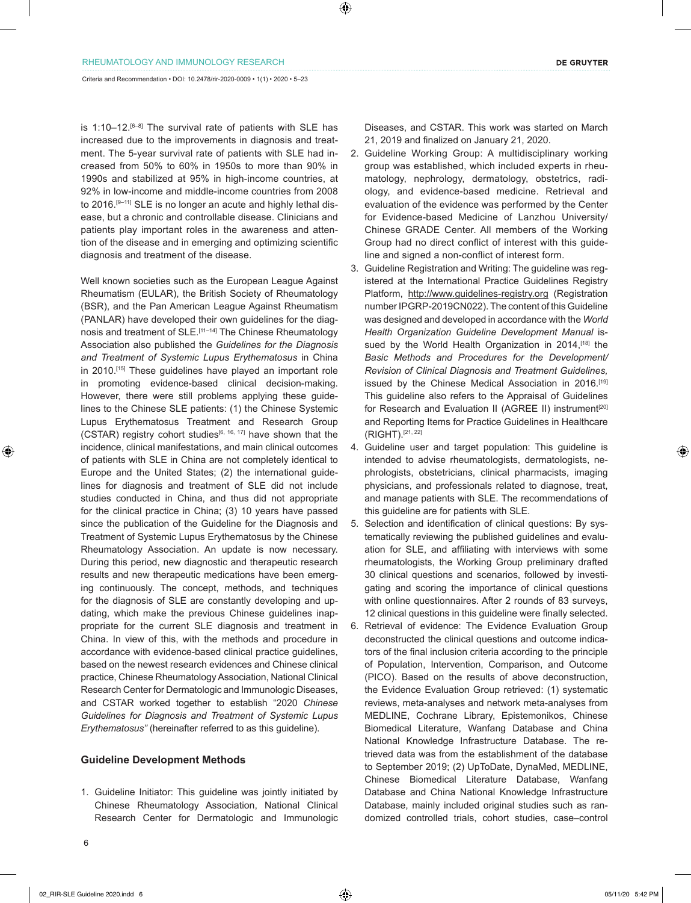Criteria and Recommendation • DOI: 10.2478/rir-2020-0009 • 1(1) • 2020 • 5–23

is 1:10–12.<sup>[6–8]</sup> The survival rate of patients with SLE has increased due to the improvements in diagnosis and treatment. The 5-year survival rate of patients with SLE had increased from 50% to 60% in 1950s to more than 90% in 1990s and stabilized at 95% in high-income countries, at 92% in low-income and middle-income countries from 2008 to 2016.<sup>[9-11]</sup> SLE is no longer an acute and highly lethal disease, but a chronic and controllable disease. Clinicians and patients play important roles in the awareness and attention of the disease and in emerging and optimizing scientific diagnosis and treatment of the disease.

Well known societies such as the European League Against Rheumatism (EULAR), the British Society of Rheumatology (BSR), and the Pan American League Against Rheumatism (PANLAR) have developed their own guidelines for the diagnosis and treatment of SLE.[11–14] The Chinese Rheumatology Association also published the *Guidelines for the Diagnosis and Treatment of Systemic Lupus Erythematosus* in China in 2010.[15] These guidelines have played an important role in promoting evidence-based clinical decision-making. However, there were still problems applying these guidelines to the Chinese SLE patients: (1) the Chinese Systemic Lupus Erythematosus Treatment and Research Group (CSTAR) registry cohort studies<sup>[6, 16, 17]</sup> have shown that the incidence, clinical manifestations, and main clinical outcomes of patients with SLE in China are not completely identical to Europe and the United States; (2) the international guidelines for diagnosis and treatment of SLE did not include studies conducted in China, and thus did not appropriate for the clinical practice in China; (3) 10 years have passed since the publication of the Guideline for the Diagnosis and Treatment of Systemic Lupus Erythematosus by the Chinese Rheumatology Association. An update is now necessary. During this period, new diagnostic and therapeutic research results and new therapeutic medications have been emerging continuously. The concept, methods, and techniques for the diagnosis of SLE are constantly developing and updating, which make the previous Chinese guidelines inappropriate for the current SLE diagnosis and treatment in China. In view of this, with the methods and procedure in accordance with evidence-based clinical practice guidelines, based on the newest research evidences and Chinese clinical practice, Chinese Rheumatology Association, National Clinical Research Center for Dermatologic and Immunologic Diseases, and CSTAR worked together to establish "2020 *Chinese Guidelines for Diagnosis and Treatment of Systemic Lupus Erythematosus"* (hereinafter referred to as this guideline).

### **Guideline Development Methods**

1. Guideline Initiator: This guideline was jointly initiated by Chinese Rheumatology Association, National Clinical Research Center for Dermatologic and Immunologic

- 2. Guideline Working Group: A multidisciplinary working group was established, which included experts in rheumatology, nephrology, dermatology, obstetrics, radiology, and evidence-based medicine. Retrieval and evaluation of the evidence was performed by the Center for Evidence-based Medicine of Lanzhou University/ Chinese GRADE Center. All members of the Working Group had no direct conflict of interest with this guideline and signed a non-conflict of interest form.
- 3. Guideline Registration and Writing: The guideline was registered at the International Practice Guidelines Registry Platform, http://www.guidelines-registry.org (Registration number IPGRP-2019CN022). The content of this Guideline was designed and developed in accordance with the *World Health Organization Guideline Development Manual* issued by the World Health Organization in 2014,<sup>[18]</sup> the *Basic Methods and Procedures for the Development/ Revision of Clinical Diagnosis and Treatment Guidelines,* issued by the Chinese Medical Association in 2016.[19] This guideline also refers to the Appraisal of Guidelines for Research and Evaluation II (AGREE II) instrument<sup>[20]</sup> and Reporting Items for Practice Guidelines in Healthcare (RIGHT).[21, 22]
- 4. Guideline user and target population: This guideline is intended to advise rheumatologists, dermatologists, nephrologists, obstetricians, clinical pharmacists, imaging physicians, and professionals related to diagnose, treat, and manage patients with SLE. The recommendations of this guideline are for patients with SLE.
- 5. Selection and identification of clinical questions: By systematically reviewing the published guidelines and evaluation for SLE, and affiliating with interviews with some rheumatologists, the Working Group preliminary drafted 30 clinical questions and scenarios, followed by investigating and scoring the importance of clinical questions with online questionnaires. After 2 rounds of 83 surveys, 12 clinical questions in this guideline were finally selected.
- 6. Retrieval of evidence: The Evidence Evaluation Group deconstructed the clinical questions and outcome indicators of the final inclusion criteria according to the principle of Population, Intervention, Comparison, and Outcome (PICO). Based on the results of above deconstruction, the Evidence Evaluation Group retrieved: (1) systematic reviews, meta-analyses and network meta-analyses from MEDLINE, Cochrane Library, Epistemonikos, Chinese Biomedical Literature, Wanfang Database and China National Knowledge Infrastructure Database. The retrieved data was from the establishment of the database to September 2019; (2) UpToDate, DynaMed, MEDLINE, Chinese Biomedical Literature Database, Wanfang Database and China National Knowledge Infrastructure Database, mainly included original studies such as randomized controlled trials, cohort studies, case–control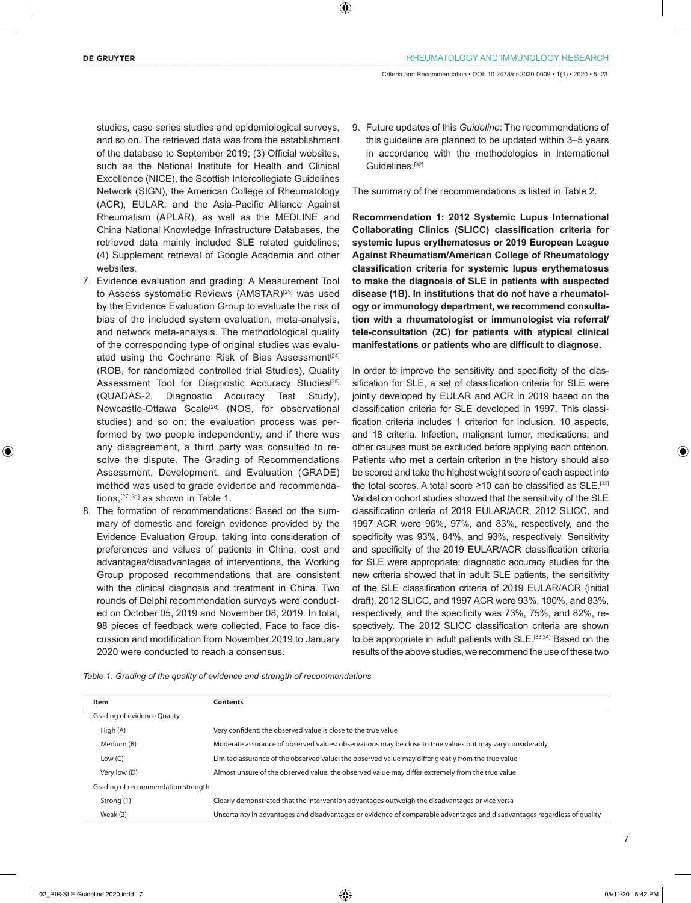studies, case series studies and epidemiological surveys, and so on. The retrieved data was from the establishment of the database to September 2019; (3) Official websites, such as the National Institute for Health and Clinical Excellence (NICE), the Scottish Intercollegiate Guidelines Network (SIGN), the American College of Rheumatology (ACR), EULAR, and the Asia-Pacific Alliance Against Rheumatism (APLAR), as well as the MEDLINE and China National Knowledge Infrastructure Databases, the retrieved data mainly included SLE related guidelines; (4) Supplement retrieval of Google Academia and other websites.

- 7. Evidence evaluation and grading: A Measurement Tool to Assess systematic Reviews (AMSTAR)<sup>[23]</sup> was used by the Evidence Evaluation Group to evaluate the risk of bias of the included system evaluation, meta-analysis, and network meta-analysis. The methodological quality of the corresponding type of original studies was evaluated using the Cochrane Risk of Bias Assessment<sup>[24]</sup> (ROB, for randomized controlled trial Studies), Quality Assessment Tool for Diagnostic Accuracy Studies<sup>[25]</sup> (QUADAS-2, Diagnostic Accuracy Test Study), Newcastle-Ottawa Scale<sup>[26]</sup> (NOS, for observational studies) and so on; the evaluation process was performed by two people independently, and if there was any disagreement, a third party was consulted to resolve the dispute. The Grading of Recommendations Assessment, Development, and Evaluation (GRADE) method was used to grade evidence and recommendations,[27–31] as shown in Table 1.
- 8. The formation of recommendations: Based on the summary of domestic and foreign evidence provided by the Evidence Evaluation Group, taking into consideration of preferences and values of patients in China, cost and advantages/disadvantages of interventions, the Working Group proposed recommendations that are consistent with the clinical diagnosis and treatment in China. Two rounds of Delphi recommendation surveys were conducted on October 05, 2019 and November 08, 2019. In total, 98 pieces of feedback were collected. Face to face discussion and modification from November 2019 to January 2020 were conducted to reach a consensus.

9. Future updates of this *Guideline*: The recommendations of this guideline are planned to be updated within 3–5 years in accordance with the methodologies in International Guidelines.[32]

The summary of the recommendations is listed in Table 2.

**Recommendation 1: 2012 Systemic Lupus International Collaborating Clinics (SLICC) classification criteria for systemic lupus erythematosus or 2019 European League Against Rheumatism/American College of Rheumatology classification criteria for systemic lupus erythematosus to make the diagnosis of SLE in patients with suspected disease (1B). In institutions that do not have a rheumatology or immunology department, we recommend consultation with a rheumatologist or immunologist via referral/ tele-consultation (2C) for patients with atypical clinical manifestations or patients who are difficult to diagnose.**

In order to improve the sensitivity and specificity of the classification for SLE, a set of classification criteria for SLE were jointly developed by EULAR and ACR in 2019 based on the classification criteria for SLE developed in 1997. This classification criteria includes 1 criterion for inclusion, 10 aspects, and 18 criteria. Infection, malignant tumor, medications, and other causes must be excluded before applying each criterion. Patients who met a certain criterion in the history should also be scored and take the highest weight score of each aspect into the total scores. A total score ≥10 can be classified as SLE.[33] Validation cohort studies showed that the sensitivity of the SLE classification criteria of 2019 EULAR/ACR, 2012 SLICC, and 1997 ACR were 96%, 97%, and 83%, respectively, and the specificity was 93%, 84%, and 93%, respectively. Sensitivity and specificity of the 2019 EULAR/ACR classification criteria for SLE were appropriate; diagnostic accuracy studies for the new criteria showed that in adult SLE patients, the sensitivity of the SLE classification criteria of 2019 EULAR/ACR (initial draft), 2012 SLICC, and 1997 ACR were 93%, 100%, and 83%, respectively, and the specificity was 73%, 75%, and 82%, respectively. The 2012 SLICC classification criteria are shown to be appropriate in adult patients with SLE.<sup>[33,34]</sup> Based on the results of the above studies, we recommend the use of these two

*Table 1: Grading of the quality of evidence and strength of recommendations*

| Item                               | Contents                                                                                                                 |
|------------------------------------|--------------------------------------------------------------------------------------------------------------------------|
| <b>Grading of evidence Quality</b> |                                                                                                                          |
| High (A)                           | Very confident: the observed value is close to the true value                                                            |
| Medium (B)                         | Moderate assurance of observed values: observations may be close to true values but may vary considerably                |
| Low $(C)$                          | Limited assurance of the observed value: the observed value may differ greatly from the true value                       |
| Very low (D)                       | Almost unsure of the observed value: the observed value may differ extremely from the true value                         |
| Grading of recommendation strength |                                                                                                                          |
| Strong (1)                         | Clearly demonstrated that the intervention advantages outweigh the disadvantages or vice versa                           |
| Weak $(2)$                         | Uncertainty in advantages and disadvantages or evidence of comparable advantages and disadvantages regardless of quality |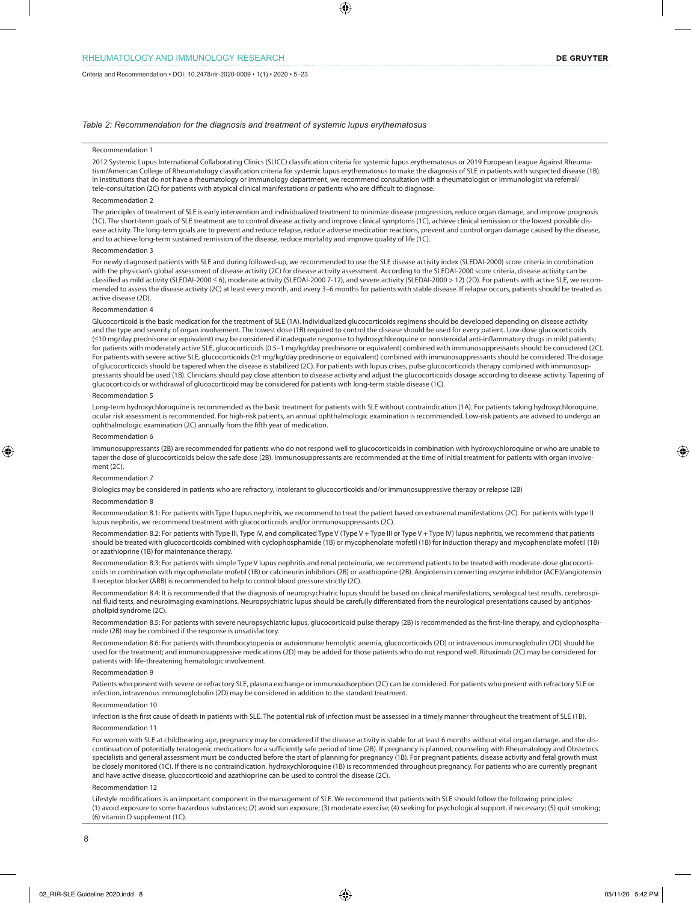### *Table 2: Recommendation for the diagnosis and treatment of systemic lupus erythematosus*

#### Recommendation 1

2012 Systemic Lupus International Collaborating Clinics (SLICC) classification criteria for systemic lupus erythematosus or 2019 European League Against Rheumatism/American College of Rheumatology classification criteria for systemic lupus erythematosus to make the diagnosis of SLE in patients with suspected disease (1B). In institutions that do not have a rheumatology or immunology department, we recommend consultation with a rheumatologist or immunologist via referral/ tele-consultation (2C) for patients with atypical clinical manifestations or patients who are difficult to diagnose.

#### Recommendation 2

The principles of treatment of SLE is early intervention and individualized treatment to minimize disease progression, reduce organ damage, and improve prognosis (1C). The short-term goals of SLE treatment are to control disease activity and improve clinical symptoms (1C), achieve clinical remission or the lowest possible disease activity. The long-term goals are to prevent and reduce relapse, reduce adverse medication reactions, prevent and control organ damage caused by the disease, and to achieve long-term sustained remission of the disease, reduce mortality and improve quality of life (1C).

#### Recommendation 3

For newly diagnosed patients with SLE and during followed-up, we recommended to use the SLE disease activity index (SLEDAI-2000) score criteria in combination with the physician's global assessment of disease activity (2C) for disease activity assessment. According to the SLEDAI-2000 score criteria, disease activity can be classified as mild activity (SLEDAI-2000 ≤ 6), moderate activity (SLEDAI-2000 7-12), and severe activity (SLEDAI-2000 > 12) (2D). For patients with active SLE, we recommended to assess the disease activity (2C) at least every month, and every 3-6 months for patients with stable disease. If relapse occurs, patients should be treated as active disease (2D).

#### Recommendation 4

Glucocorticoid is the basic medication for the treatment of SLE (1A). Individualized glucocorticoids regimens should be developed depending on disease activity and the type and severity of organ involvement. The lowest dose (1B) required to control the disease should be used for every patient. Low-dose glucocorticoids (≤10 mg/day prednisone or equivalent) may be considered if inadequate response to hydroxychloroquine or nonsteroidal anti-inflammatory drugs in mild patients; for patients with moderately active SLE, glucocorticoids (0.5–1 mg/kg/day prednisone or equivalent) combined with immunosuppressants should be considered (2C). For patients with severe active SLE, glucocorticoids (≥1 mg/kg/day prednisone or equivalent) combined with immunosuppressants should be considered. The dosage of glucocorticoids should be tapered when the disease is stabilized (2C). For patients with lupus crises, pulse glucocorticoids therapy combined with immunosuppressants should be used (1B). Clinicians should pay close attention to disease activity and adjust the glucocorticoids dosage according to disease activity. Tapering of glucocorticoids or withdrawal of glucocorticoid may be considered for patients with long-term stable disease (1C).

#### Recommendation 5

Long-term hydroxychloroquine is recommended as the basic treatment for patients with SLE without contraindication (1A). For patients taking hydroxychloroquine, ocular risk assessment is recommended. For high-risk patients, an annual ophthalmologic examination is recommended. Low-risk patients are advised to undergo an ophthalmologic examination (2C) annually from the fifth year of medication.

#### Recommendation 6

Immunosuppressants (2B) are recommended for patients who do not respond well to glucocorticoids in combination with hydroxychloroquine or who are unable to taper the dose of glucocorticoids below the safe dose (2B). Immunosuppressants are recommended at the time of initial treatment for patients with organ involvement (2C).

#### Recommendation 7

Biologics may be considered in patients who are refractory, intolerant to glucocorticoids and/or immunosuppressive therapy or relapse (2B)

#### Recommendation 8

Recommendation 8.1: For patients with Type I lupus nephritis, we recommend to treat the patient based on extrarenal manifestations (2C). For patients with type II lupus nephritis, we recommend treatment with glucocorticoids and/or immunosuppressants (2C).

Recommendation 8.2: For patients with Type III, Type IV, and complicated Type V (Type V + Type III or Type V + Type IV) lupus nephritis, we recommend that patients should be treated with glucocorticoids combined with cyclophosphamide (1B) or mycophenolate mofetil (1B) for induction therapy and mycophenolate mofetil (1B) or azathioprine (1B) for maintenance therapy.

Recommendation 8.3: For patients with simple Type V lupus nephritis and renal proteinuria, we recommend patients to be treated with moderate-dose glucocorticoids in combination with mycophenolate mofetil (1B) or calcineurin inhibitors (2B) or azathioprine (2B). Angiotensin converting enzyme inhibitor (ACEI)/angiotensin II receptor blocker (ARB) is recommended to help to control blood pressure strictly (2C).

Recommendation 8.4: It is recommended that the diagnosis of neuropsychiatric lupus should be based on clinical manifestations, serological test results, cerebrospinal fluid tests, and neuroimaging examinations. Neuropsychiatric lupus should be carefully differentiated from the neurological presentations caused by antiphospholipid syndrome (2C).

Recommendation 8.5: For patients with severe neuropsychiatric lupus, glucocorticoid pulse therapy (2B) is recommended as the first-line therapy, and cyclophosphamide (2B) may be combined if the response is unsatisfactory.

ecommendation 8.6: For patients with thrombocytopenia or autoimmune hemolytic anemia, glucocorticoids (2D) or intravenous immunoglobulin (2D) should be used for the treatment; and immunosuppressive medications (2D) may be added for those patients who do not respond well. Rituximab (2C) may be considered for patients with life-threatening hematologic involvement.

#### Recommendation 9

Patients who present with severe or refractory SLE, plasma exchange or immunoadsorption (2C) can be considered. For patients who present with refractory SLE or infection, intravenous immunoglobulin (2D) may be considered in addition to the standard treatment.

#### Recommendation 10

Infection is the first cause of death in patients with SLE. The potential risk of infection must be assessed in a timely manner throughout the treatment of SLE (1B). Recommendation 11

For women with SLE at childbearing age, pregnancy may be considered if the disease activity is stable for at least 6 months without vital organ damage, and the discontinuation of potentially teratogenic medications for a sufficiently safe period of time (2B). If pregnancy is planned, counseling with Rheumatology and Obstetrics specialists and general assessment must be conducted before the start of planning for pregnancy (1B). For pregnant patients, disease activity and fetal growth must be closely monitored (1C). If there is no contraindication, hydroxychloroquine (1B) is recommended throughout pregnancy. For patients who are currently pregnant and have active disease, glucocorticoid and azathioprine can be used to control the disease (2C).

#### Recommendation 12

Lifestyle modifications is an important component in the management of SLE. We recommend that patients with SLE should follow the following principles: (1) avoid exposure to some hazardous substances; (2) avoid sun exposure; (3) moderate exercise; (4) seeking for psychological support, if necessary; (5) quit smoking; (6) vitamin D supplement (1C).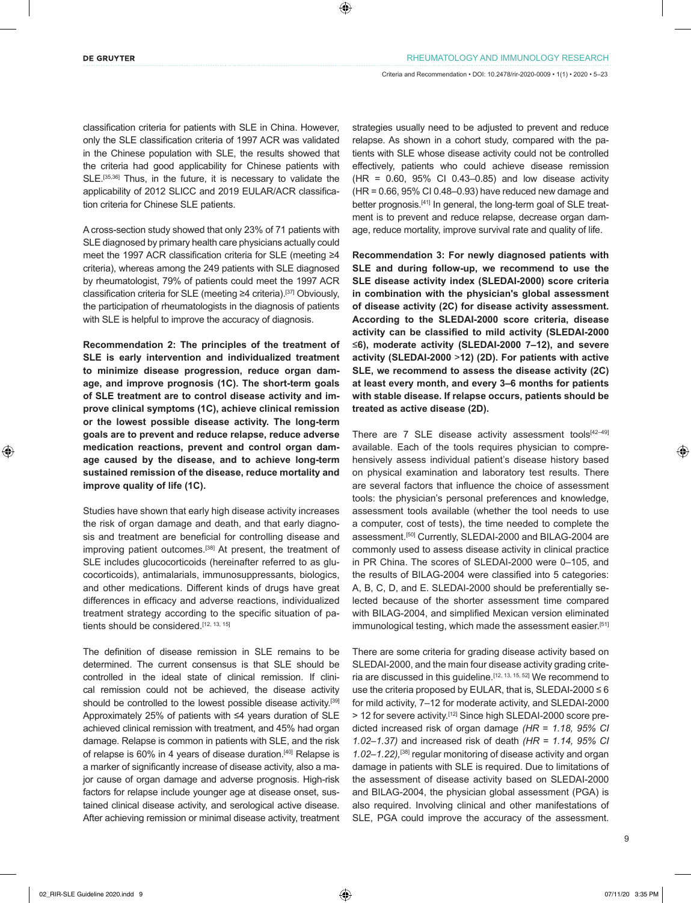classification criteria for patients with SLE in China. However, only the SLE classification criteria of 1997 ACR was validated in the Chinese population with SLE, the results showed that the criteria had good applicability for Chinese patients with SLE.<sup>[35,36]</sup> Thus, in the future, it is necessary to validate the applicability of 2012 SLICC and 2019 EULAR/ACR classification criteria for Chinese SLE patients.

A cross-section study showed that only 23% of 71 patients with SLE diagnosed by primary health care physicians actually could meet the 1997 ACR classification criteria for SLE (meeting ≥4 criteria), whereas among the 249 patients with SLE diagnosed by rheumatologist, 79% of patients could meet the 1997 ACR classification criteria for SLE (meeting ≥4 criteria).[37] Obviously, the participation of rheumatologists in the diagnosis of patients with SLE is helpful to improve the accuracy of diagnosis.

**Recommendation 2: The principles of the treatment of SLE is early intervention and individualized treatment to minimize disease progression, reduce organ damage, and improve prognosis (1C). The short-term goals of SLE treatment are to control disease activity and improve clinical symptoms (1C), achieve clinical remission or the lowest possible disease activity. The long-term goals are to prevent and reduce relapse, reduce adverse medication reactions, prevent and control organ damage caused by the disease, and to achieve long-term sustained remission of the disease, reduce mortality and improve quality of life (1C).**

Studies have shown that early high disease activity increases the risk of organ damage and death, and that early diagnosis and treatment are beneficial for controlling disease and improving patient outcomes.<sup>[38]</sup> At present, the treatment of SLE includes glucocorticoids (hereinafter referred to as glucocorticoids), antimalarials, immunosuppressants, biologics, and other medications. Different kinds of drugs have great differences in efficacy and adverse reactions, individualized treatment strategy according to the specific situation of patients should be considered.<sup>[12, 13, 15]</sup>

The definition of disease remission in SLE remains to be determined. The current consensus is that SLE should be controlled in the ideal state of clinical remission. If clinical remission could not be achieved, the disease activity should be controlled to the lowest possible disease activity.<sup>[39]</sup> Approximately 25% of patients with ≤4 years duration of SLE achieved clinical remission with treatment, and 45% had organ damage. Relapse is common in patients with SLE, and the risk of relapse is 60% in 4 years of disease duration.<sup>[40]</sup> Relapse is a marker of significantly increase of disease activity, also a major cause of organ damage and adverse prognosis. High-risk factors for relapse include younger age at disease onset, sustained clinical disease activity, and serological active disease. After achieving remission or minimal disease activity, treatment strategies usually need to be adjusted to prevent and reduce relapse. As shown in a cohort study, compared with the patients with SLE whose disease activity could not be controlled effectively, patients who could achieve disease remission (HR = 0.60, 95% CI 0.43–0.85) and low disease activity (HR = 0.66, 95% CI 0.48–0.93) have reduced new damage and better prognosis.<sup>[41]</sup> In general, the long-term goal of SLE treatment is to prevent and reduce relapse, decrease organ damage, reduce mortality, improve survival rate and quality of life.

**Recommendation 3: For newly diagnosed patients with SLE and during follow-up, we recommend to use the SLE disease activity index (SLEDAI-2000) score criteria in combination with the physician's global assessment of disease activity (2C) for disease activity assessment. According to the SLEDAI-2000 score criteria, disease activity can be classified to mild activity (SLEDAI-2000**  ≤**6), moderate activity (SLEDAI-2000 7–12), and severe activity (SLEDAI-2000** >**12) (2D). For patients with active SLE, we recommend to assess the disease activity (2C) at least every month, and every 3–6 months for patients with stable disease. If relapse occurs, patients should be treated as active disease (2D).**

There are  $7$  SLE disease activity assessment tools<sup>[42-49]</sup> available. Each of the tools requires physician to comprehensively assess individual patient's disease history based on physical examination and laboratory test results. There are several factors that influence the choice of assessment tools: the physician's personal preferences and knowledge, assessment tools available (whether the tool needs to use a computer, cost of tests), the time needed to complete the assessment.[50] Currently, SLEDAI-2000 and BILAG-2004 are commonly used to assess disease activity in clinical practice in PR China. The scores of SLEDAI-2000 were 0–105, and the results of BILAG-2004 were classified into 5 categories: A, B, C, D, and E. SLEDAI-2000 should be preferentially selected because of the shorter assessment time compared with BILAG-2004, and simplified Mexican version eliminated immunological testing, which made the assessment easier.<sup>[51]</sup>

There are some criteria for grading disease activity based on SLEDAI-2000, and the main four disease activity grading criteria are discussed in this guideline.<sup>[12, 13, 15, 52]</sup> We recommend to use the criteria proposed by EULAR, that is, SLEDAI-2000 ≤ 6 for mild activity, 7–12 for moderate activity, and SLEDAI-2000 > 12 for severe activity.[12] Since high SLEDAI-2000 score predicted increased risk of organ damage *(HR* = *1.18, 95% CI 1.02–1.37)* and increased risk of death *(HR* = *1.14, 95% CI 1.02–1.22),*[38] regular monitoring of disease activity and organ damage in patients with SLE is required. Due to limitations of the assessment of disease activity based on SLEDAI-2000 and BILAG-2004, the physician global assessment (PGA) is also required. Involving clinical and other manifestations of SLE, PGA could improve the accuracy of the assessment.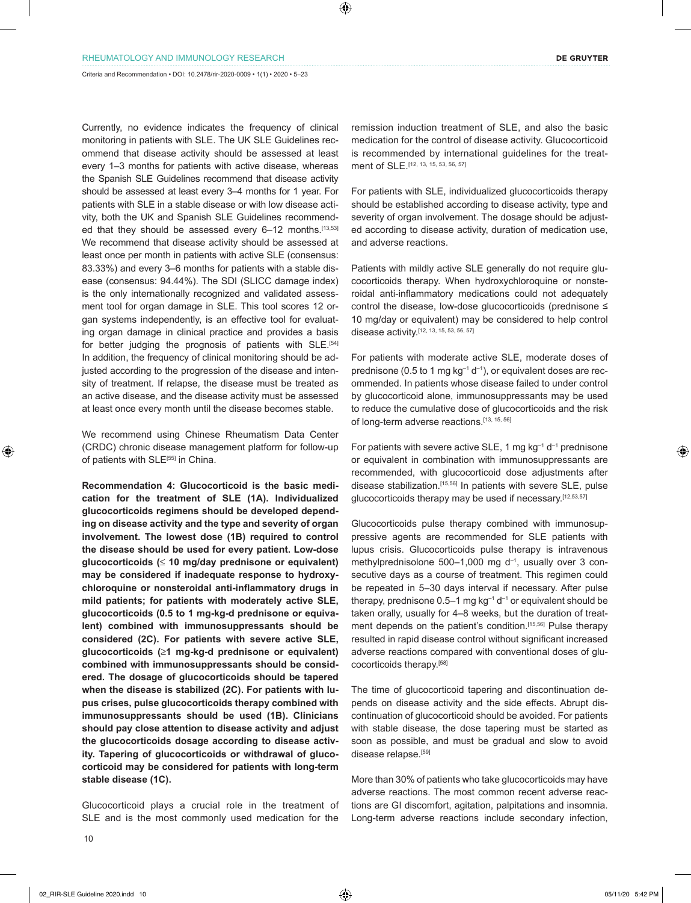Criteria and Recommendation • DOI: 10.2478/rir-2020-0009 • 1(1) • 2020 • 5–23

Currently, no evidence indicates the frequency of clinical monitoring in patients with SLE. The UK SLE Guidelines recommend that disease activity should be assessed at least every 1–3 months for patients with active disease, whereas the Spanish SLE Guidelines recommend that disease activity should be assessed at least every 3–4 months for 1 year. For patients with SLE in a stable disease or with low disease activity, both the UK and Spanish SLE Guidelines recommended that they should be assessed every 6-12 months.[13,53] We recommend that disease activity should be assessed at least once per month in patients with active SLE (consensus: 83.33%) and every 3–6 months for patients with a stable disease (consensus: 94.44%). The SDI (SLICC damage index) is the only internationally recognized and validated assessment tool for organ damage in SLE. This tool scores 12 organ systems independently, is an effective tool for evaluating organ damage in clinical practice and provides a basis for better judging the prognosis of patients with SLE.<sup>[54]</sup> In addition, the frequency of clinical monitoring should be adjusted according to the progression of the disease and intensity of treatment. If relapse, the disease must be treated as an active disease, and the disease activity must be assessed at least once every month until the disease becomes stable.

We recommend using Chinese Rheumatism Data Center (CRDC) chronic disease management platform for follow-up of patients with SLE<sup>[55]</sup> in China.

**Recommendation 4: Glucocorticoid is the basic medication for the treatment of SLE (1A). Individualized glucocorticoids regimens should be developed depending on disease activity and the type and severity of organ involvement. The lowest dose (1B) required to control the disease should be used for every patient. Low-dose glucocorticoids (**≤ **10 mg/day prednisone or equivalent) may be considered if inadequate response to hydroxychloroquine or nonsteroidal anti-inflammatory drugs in mild patients; for patients with moderately active SLE, glucocorticoids (0.5 to 1 mg-kg-d prednisone or equivalent) combined with immunosuppressants should be considered (2C). For patients with severe active SLE, glucocorticoids (**≥**1 mg-kg-d prednisone or equivalent) combined with immunosuppressants should be considered. The dosage of glucocorticoids should be tapered when the disease is stabilized (2C). For patients with lupus crises, pulse glucocorticoids therapy combined with immunosuppressants should be used (1B). Clinicians should pay close attention to disease activity and adjust the glucocorticoids dosage according to disease activity. Tapering of glucocorticoids or withdrawal of glucocorticoid may be considered for patients with long-term stable disease (1C).**

Glucocorticoid plays a crucial role in the treatment of SLE and is the most commonly used medication for the remission induction treatment of SLE, and also the basic medication for the control of disease activity. Glucocorticoid is recommended by international guidelines for the treatment of SLE.<sup>[12, 13, 15, 53, 56, 57]</sup>

For patients with SLE, individualized glucocorticoids therapy should be established according to disease activity, type and severity of organ involvement. The dosage should be adjusted according to disease activity, duration of medication use, and adverse reactions.

Patients with mildly active SLE generally do not require glucocorticoids therapy. When hydroxychloroquine or nonsteroidal anti-inflammatory medications could not adequately control the disease, low-dose glucocorticoids (prednisone ≤ 10 mg/day or equivalent) may be considered to help control disease activity.[12, 13, 15, 53, 56, 57]

For patients with moderate active SLE, moderate doses of prednisone (0.5 to 1 mg  $kg^{-1}$  d<sup>-1</sup>), or equivalent doses are recommended. In patients whose disease failed to under control by glucocorticoid alone, immunosuppressants may be used to reduce the cumulative dose of glucocorticoids and the risk of long-term adverse reactions.[13, 15, 56]

For patients with severe active SLE, 1 mg  $kg^{-1} d^{-1}$  prednisone or equivalent in combination with immunosuppressants are recommended, with glucocorticoid dose adjustments after disease stabilization.[15,56] In patients with severe SLE, pulse glucocorticoids therapy may be used if necessary.[12,53,57]

Glucocorticoids pulse therapy combined with immunosuppressive agents are recommended for SLE patients with lupus crisis. Glucocorticoids pulse therapy is intravenous methylprednisolone 500–1,000 mg d–1, usually over 3 consecutive days as a course of treatment. This regimen could be repeated in 5–30 days interval if necessary. After pulse therapy, prednisone  $0.5-1$  mg kg<sup>-1</sup> d<sup>-1</sup> or equivalent should be taken orally, usually for 4–8 weeks, but the duration of treatment depends on the patient's condition.<sup>[15,56]</sup> Pulse therapy resulted in rapid disease control without significant increased adverse reactions compared with conventional doses of glucocorticoids therapy.[58]

The time of glucocorticoid tapering and discontinuation depends on disease activity and the side effects. Abrupt discontinuation of glucocorticoid should be avoided. For patients with stable disease, the dose tapering must be started as soon as possible, and must be gradual and slow to avoid disease relapse.<sup>[59]</sup>

More than 30% of patients who take glucocorticoids may have adverse reactions. The most common recent adverse reactions are GI discomfort, agitation, palpitations and insomnia. Long-term adverse reactions include secondary infection,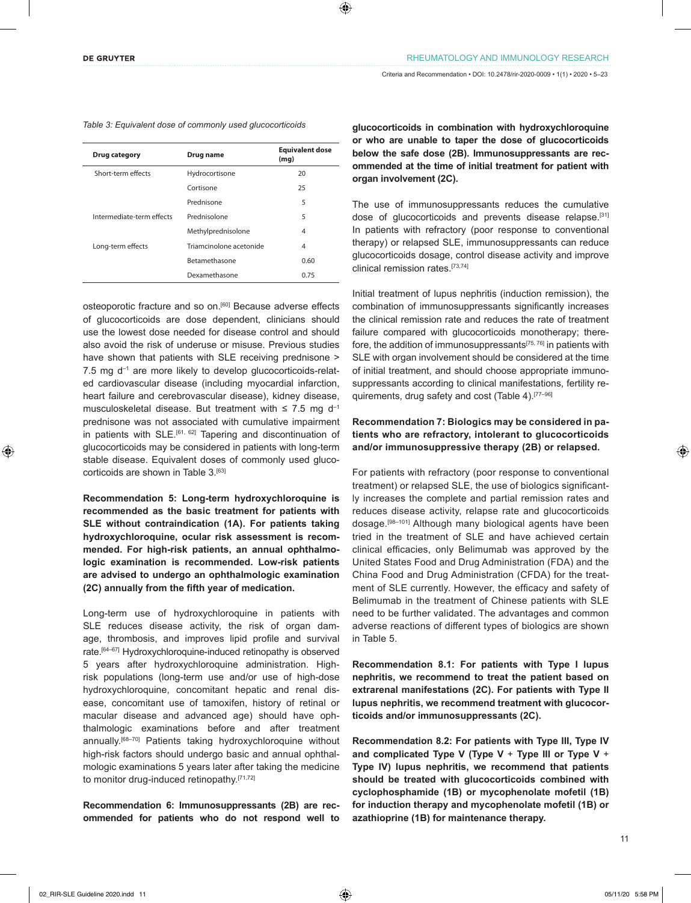|  |  |  |  |  |  | Table 3: Equivalent dose of commonly used glucocorticoids |  |  |  |  |  |  |  |  |
|--|--|--|--|--|--|-----------------------------------------------------------|--|--|--|--|--|--|--|--|
|--|--|--|--|--|--|-----------------------------------------------------------|--|--|--|--|--|--|--|--|

| Drug category             | Drug name               | <b>Equivalent dose</b><br>(mg) |
|---------------------------|-------------------------|--------------------------------|
| Short-term effects        | Hydrocortisone          | 20                             |
|                           | Cortisone               | 25                             |
|                           | Prednisone              | 5                              |
| Intermediate-term effects | Prednisolone            | 5                              |
|                           | Methylprednisolone      | 4                              |
| Long-term effects         | Triamcinolone acetonide | 4                              |
|                           | Betamethasone           | 0.60                           |
|                           | Dexamethasone           | 0.75                           |

osteoporotic fracture and so on.[60] Because adverse effects of glucocorticoids are dose dependent, clinicians should use the lowest dose needed for disease control and should also avoid the risk of underuse or misuse. Previous studies have shown that patients with SLE receiving prednisone > 7.5 mg d<sup>-1</sup> are more likely to develop glucocorticoids-related cardiovascular disease (including myocardial infarction, heart failure and cerebrovascular disease), kidney disease, musculoskeletal disease. But treatment with  $\leq 7.5$  mg d<sup>-1</sup> prednisone was not associated with cumulative impairment in patients with SLE.<sup>[61, 62]</sup> Tapering and discontinuation of glucocorticoids may be considered in patients with long-term stable disease. Equivalent doses of commonly used glucocorticoids are shown in Table 3.<sup>[63]</sup>

**Recommendation 5: Long-term hydroxychloroquine is recommended as the basic treatment for patients with SLE without contraindication (1A). For patients taking hydroxychloroquine, ocular risk assessment is recommended. For high-risk patients, an annual ophthalmologic examination is recommended. Low-risk patients are advised to undergo an ophthalmologic examination (2C) annually from the fifth year of medication.**

Long-term use of hydroxychloroquine in patients with SLE reduces disease activity, the risk of organ damage, thrombosis, and improves lipid profile and survival rate.[64–67] Hydroxychloroquine-induced retinopathy is observed 5 years after hydroxychloroquine administration. Highrisk populations (long-term use and/or use of high-dose hydroxychloroquine, concomitant hepatic and renal disease, concomitant use of tamoxifen, history of retinal or macular disease and advanced age) should have ophthalmologic examinations before and after treatment annually.[68–70] Patients taking hydroxychloroquine without high-risk factors should undergo basic and annual ophthalmologic examinations 5 years later after taking the medicine to monitor drug-induced retinopathy.<sup>[71,72]</sup>

**Recommendation 6: Immunosuppressants (2B) are recommended for patients who do not respond well to** 

**glucocorticoids in combination with hydroxychloroquine or who are unable to taper the dose of glucocorticoids below the safe dose (2B). Immunosuppressants are recommended at the time of initial treatment for patient with organ involvement (2C).**

The use of immunosuppressants reduces the cumulative dose of glucocorticoids and prevents disease relapse.[31] In patients with refractory (poor response to conventional therapy) or relapsed SLE, immunosuppressants can reduce glucocorticoids dosage, control disease activity and improve clinical remission rates.[73,74]

Initial treatment of lupus nephritis (induction remission), the combination of immunosuppressants significantly increases the clinical remission rate and reduces the rate of treatment failure compared with glucocorticoids monotherapy; therefore, the addition of immunosuppressants[75, 76] in patients with SLE with organ involvement should be considered at the time of initial treatment, and should choose appropriate immunosuppressants according to clinical manifestations, fertility requirements, drug safety and cost (Table 4).[77–96]

### **Recommendation 7: Biologics may be considered in patients who are refractory, intolerant to glucocorticoids and/or immunosuppressive therapy (2B) or relapsed.**

For patients with refractory (poor response to conventional treatment) or relapsed SLE, the use of biologics significantly increases the complete and partial remission rates and reduces disease activity, relapse rate and glucocorticoids dosage.[98–101] Although many biological agents have been tried in the treatment of SLE and have achieved certain clinical efficacies, only Belimumab was approved by the United States Food and Drug Administration (FDA) and the China Food and Drug Administration (CFDA) for the treatment of SLE currently. However, the efficacy and safety of Belimumab in the treatment of Chinese patients with SLE need to be further validated. The advantages and common adverse reactions of different types of biologics are shown in Table 5.

**Recommendation 8.1: For patients with Type I lupus nephritis, we recommend to treat the patient based on extrarenal manifestations (2C). For patients with Type II lupus nephritis, we recommend treatment with glucocorticoids and/or immunosuppressants (2C).**

**Recommendation 8.2: For patients with Type III, Type IV and complicated Type V (Type V** + **Type III or Type V** + **Type IV) lupus nephritis, we recommend that patients should be treated with glucocorticoids combined with cyclophosphamide (1B) or mycophenolate mofetil (1B) for induction therapy and mycophenolate mofetil (1B) or azathioprine (1B) for maintenance therapy.**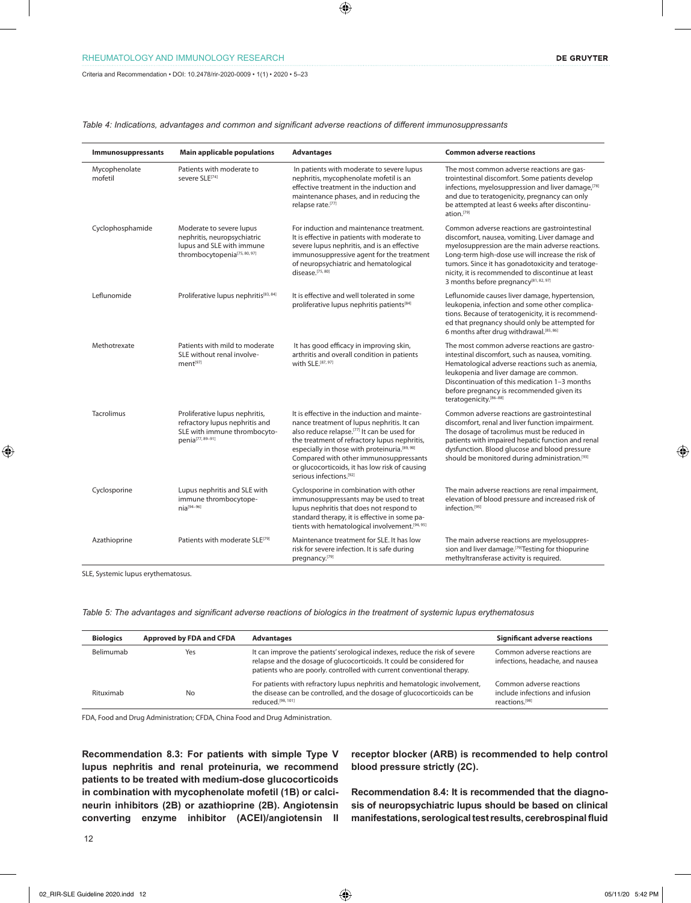Criteria and Recommendation • DOI: 10.2478/rir-2020-0009 • 1(1) • 2020 • 5–23

| Immunosuppressants       | <b>Main applicable populations</b>                                                                                               | <b>Advantages</b>                                                                                                                                                                                                                                                                                                                                                                         | <b>Common adverse reactions</b>                                                                                                                                                                                                                                                                                                                                         |
|--------------------------|----------------------------------------------------------------------------------------------------------------------------------|-------------------------------------------------------------------------------------------------------------------------------------------------------------------------------------------------------------------------------------------------------------------------------------------------------------------------------------------------------------------------------------------|-------------------------------------------------------------------------------------------------------------------------------------------------------------------------------------------------------------------------------------------------------------------------------------------------------------------------------------------------------------------------|
| Mycophenolate<br>mofetil | Patients with moderate to<br>severe SLE <sup>[74]</sup>                                                                          | In patients with moderate to severe lupus<br>nephritis, mycophenolate mofetil is an<br>effective treatment in the induction and<br>maintenance phases, and in reducing the<br>relapse rate.[77]                                                                                                                                                                                           | The most common adverse reactions are gas-<br>trointestinal discomfort. Some patients develop<br>infections, myelosuppression and liver damage, [78]<br>and due to teratogenicity, pregnancy can only<br>be attempted at least 6 weeks after discontinu-<br>ation.[79]                                                                                                  |
| Cyclophosphamide         | Moderate to severe lupus<br>nephritis, neuropsychiatric<br>lupus and SLE with immune<br>thrombocytopenia <sup>[75, 80, 97]</sup> | For induction and maintenance treatment.<br>It is effective in patients with moderate to<br>severe lupus nephritis, and is an effective<br>immunosuppressive agent for the treatment<br>of neuropsychiatric and hematological<br>disease.[75,80]                                                                                                                                          | Common adverse reactions are gastrointestinal<br>discomfort, nausea, vomiting. Liver damage and<br>myelosuppression are the main adverse reactions.<br>Long-term high-dose use will increase the risk of<br>tumors. Since it has gonadotoxicity and teratoge-<br>nicity, it is recommended to discontinue at least<br>3 months before pregnancy <sup>[81, 82, 97]</sup> |
| Leflunomide              | Proliferative lupus nephritis[83, 84]                                                                                            | It is effective and well tolerated in some<br>proliferative lupus nephritis patients[84]                                                                                                                                                                                                                                                                                                  | Leflunomide causes liver damage, hypertension,<br>leukopenia, infection and some other complica-<br>tions. Because of teratogenicity, it is recommend-<br>ed that pregnancy should only be attempted for<br>6 months after drug withdrawal. [85, 86]                                                                                                                    |
| Methotrexate             | Patients with mild to moderate<br>SLE without renal involve-<br>ment <sup>[97]</sup>                                             | It has good efficacy in improving skin,<br>arthritis and overall condition in patients<br>with SLE.[87, 97]                                                                                                                                                                                                                                                                               | The most common adverse reactions are gastro-<br>intestinal discomfort, such as nausea, vomiting.<br>Hematological adverse reactions such as anemia,<br>leukopenia and liver damage are common.<br>Discontinuation of this medication 1-3 months<br>before pregnancy is recommended given its<br>teratogenicity.[86-88]                                                 |
| Tacrolimus               | Proliferative lupus nephritis,<br>refractory lupus nephritis and<br>SLE with immune thrombocyto-<br>penia[77, 89-91]             | It is effective in the induction and mainte-<br>nance treatment of lupus nephritis. It can<br>also reduce relapse. <sup>[77]</sup> It can be used for<br>the treatment of refractory lupus nephritis,<br>especially in those with proteinuria.[89, 90]<br>Compared with other immunosuppressants<br>or glucocorticoids, it has low risk of causing<br>serious infections. <sup>[92]</sup> | Common adverse reactions are gastrointestinal<br>discomfort, renal and liver function impairment.<br>The dosage of tacrolimus must be reduced in<br>patients with impaired hepatic function and renal<br>dysfunction. Blood glucose and blood pressure<br>should be monitored during administration. <sup>[93]</sup>                                                    |
| Cyclosporine             | Lupus nephritis and SLE with<br>immune thrombocytope-<br>$nia^{[94-96]}$                                                         | Cyclosporine in combination with other<br>immunosuppressants may be used to treat<br>lupus nephritis that does not respond to<br>standard therapy, it is effective in some pa-<br>tients with hematological involvement. <sup>[94, 95]</sup>                                                                                                                                              | The main adverse reactions are renal impairment,<br>elevation of blood pressure and increased risk of<br>infection.[95]                                                                                                                                                                                                                                                 |
| Azathioprine             | Patients with moderate SLE <sup>[79]</sup>                                                                                       | Maintenance treatment for SLE. It has low<br>risk for severe infection. It is safe during<br>pregnancy.[79]                                                                                                                                                                                                                                                                               | The main adverse reactions are myelosuppres-<br>sion and liver damage. <sup>[79]</sup> Testing for thiopurine<br>methyltransferase activity is required.                                                                                                                                                                                                                |

*Table 4: Indications, advantages and common and significant adverse reactions of different immunosuppressants*

SLE, Systemic lupus erythematosus.

*Table 5: The advantages and significant adverse reactions of biologics in the treatment of systemic lupus erythematosus*

| <b>Biologics</b> | Approved by FDA and CFDA | <b>Advantages</b>                                                                                                                                                                                                              | <b>Significant adverse reactions</b>                                          |
|------------------|--------------------------|--------------------------------------------------------------------------------------------------------------------------------------------------------------------------------------------------------------------------------|-------------------------------------------------------------------------------|
| Belimumab        | Yes                      | It can improve the patients' serological indexes, reduce the risk of severe<br>relapse and the dosage of glucocorticoids. It could be considered for<br>patients who are poorly, controlled with current conventional therapy. | Common adverse reactions are<br>infections, headache, and nausea              |
| Rituximab        | No                       | For patients with refractory lupus nephritis and hematologic involvement,<br>the disease can be controlled, and the dosage of glucocorticoids can be<br>reduced. <sup>[98, 101]</sup>                                          | Common adverse reactions<br>include infections and infusion<br>reactions.[98] |

FDA, Food and Drug Administration; CFDA, China Food and Drug Administration.

**Recommendation 8.3: For patients with simple Type V lupus nephritis and renal proteinuria, we recommend patients to be treated with medium-dose glucocorticoids in combination with mycophenolate mofetil (1B) or calcineurin inhibitors (2B) or azathioprine (2B). Angiotensin converting enzyme inhibitor (ACEI)/angiotensin II** 

**receptor blocker (ARB) is recommended to help control blood pressure strictly (2C).**

**Recommendation 8.4: It is recommended that the diagnosis of neuropsychiatric lupus should be based on clinical manifestations, serological test results, cerebrospinal fluid**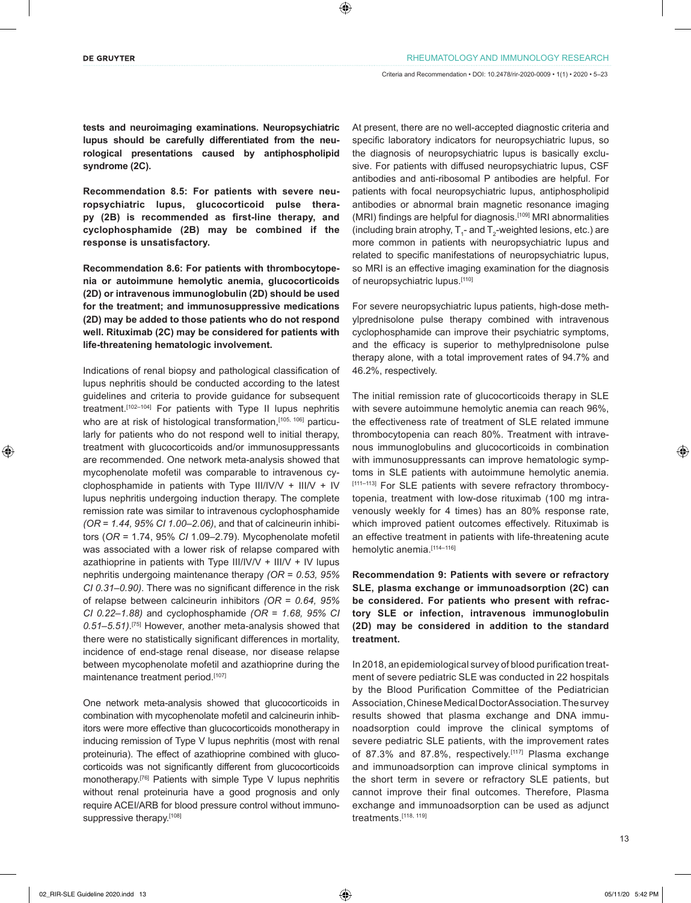**tests and neuroimaging examinations. Neuropsychiatric lupus should be carefully differentiated from the neurological presentations caused by antiphospholipid syndrome (2C).**

**Recommendation 8.5: For patients with severe neuropsychiatric lupus, glucocorticoid pulse therapy (2B) is recommended as first-line therapy, and cyclophosphamide (2B) may be combined if the response is unsatisfactory.**

**Recommendation 8.6: For patients with thrombocytopenia or autoimmune hemolytic anemia, glucocorticoids (2D) or intravenous immunoglobulin (2D) should be used for the treatment; and immunosuppressive medications (2D) may be added to those patients who do not respond well. Rituximab (2C) may be considered for patients with life-threatening hematologic involvement.**

Indications of renal biopsy and pathological classification of lupus nephritis should be conducted according to the latest guidelines and criteria to provide guidance for subsequent treatment.[102–104] For patients with Type II lupus nephritis who are at risk of histological transformation, [105, 106] particularly for patients who do not respond well to initial therapy, treatment with glucocorticoids and/or immunosuppressants are recommended. One network meta-analysis showed that mycophenolate mofetil was comparable to intravenous cyclophosphamide in patients with Type III/IV/V + III/V + IV lupus nephritis undergoing induction therapy. The complete remission rate was similar to intravenous cyclophosphamide *(OR* = *1.44, 95% CI 1.00–2.06)*, and that of calcineurin inhibitors (*OR* = 1.74, 95% *CI* 1.09–2.79). Mycophenolate mofetil was associated with a lower risk of relapse compared with azathioprine in patients with Type III/IV/V + III/V + IV lupus nephritis undergoing maintenance therapy *(OR* = *0.53, 95% CI 0.31–0.90)*. There was no significant difference in the risk of relapse between calcineurin inhibitors *(OR* = *0.64, 95% CI 0.22–1.88)* and cyclophosphamide *(OR* = *1.68, 95% CI 0.51–5.51)*. [75] However, another meta-analysis showed that there were no statistically significant differences in mortality, incidence of end-stage renal disease, nor disease relapse between mycophenolate mofetil and azathioprine during the maintenance treatment period.[107]

One network meta-analysis showed that glucocorticoids in combination with mycophenolate mofetil and calcineurin inhibitors were more effective than glucocorticoids monotherapy in inducing remission of Type V lupus nephritis (most with renal proteinuria). The effect of azathioprine combined with glucocorticoids was not significantly different from glucocorticoids monotherapy.<sup>[76]</sup> Patients with simple Type V lupus nephritis without renal proteinuria have a good prognosis and only require ACEI/ARB for blood pressure control without immunosuppressive therapy.[108]

At present, there are no well-accepted diagnostic criteria and specific laboratory indicators for neuropsychiatric lupus, so the diagnosis of neuropsychiatric lupus is basically exclusive. For patients with diffused neuropsychiatric lupus, CSF antibodies and anti-ribosomal P antibodies are helpful. For patients with focal neuropsychiatric lupus, antiphospholipid antibodies or abnormal brain magnetic resonance imaging (MRI) findings are helpful for diagnosis.[109] MRI abnormalities (including brain atrophy,  $T_{1}$ - and  $T_{2}$ -weighted lesions, etc.) are more common in patients with neuropsychiatric lupus and related to specific manifestations of neuropsychiatric lupus, so MRI is an effective imaging examination for the diagnosis of neuropsychiatric lupus.[110]

For severe neuropsychiatric lupus patients, high-dose methylprednisolone pulse therapy combined with intravenous cyclophosphamide can improve their psychiatric symptoms, and the efficacy is superior to methylprednisolone pulse therapy alone, with a total improvement rates of 94.7% and 46.2%, respectively.

The initial remission rate of glucocorticoids therapy in SLE with severe autoimmune hemolytic anemia can reach 96%, the effectiveness rate of treatment of SLE related immune thrombocytopenia can reach 80%. Treatment with intravenous immunoglobulins and glucocorticoids in combination with immunosuppressants can improve hematologic symptoms in SLE patients with autoimmune hemolytic anemia. [111-113] For SLE patients with severe refractory thrombocytopenia, treatment with low-dose rituximab (100 mg intravenously weekly for 4 times) has an 80% response rate, which improved patient outcomes effectively. Rituximab is an effective treatment in patients with life-threatening acute hemolytic anemia.[114-116]

**Recommendation 9: Patients with severe or refractory SLE, plasma exchange or immunoadsorption (2C) can be considered. For patients who present with refractory SLE or infection, intravenous immunoglobulin (2D) may be considered in addition to the standard treatment.**

In 2018, an epidemiological survey of blood purification treatment of severe pediatric SLE was conducted in 22 hospitals by the Blood Purification Committee of the Pediatrician Association, Chinese Medical Doctor Association. The survey results showed that plasma exchange and DNA immunoadsorption could improve the clinical symptoms of severe pediatric SLE patients, with the improvement rates of 87.3% and 87.8%, respectively.<sup>[117]</sup> Plasma exchange and immunoadsorption can improve clinical symptoms in the short term in severe or refractory SLE patients, but cannot improve their final outcomes. Therefore, Plasma exchange and immunoadsorption can be used as adjunct treatments.[118, 119]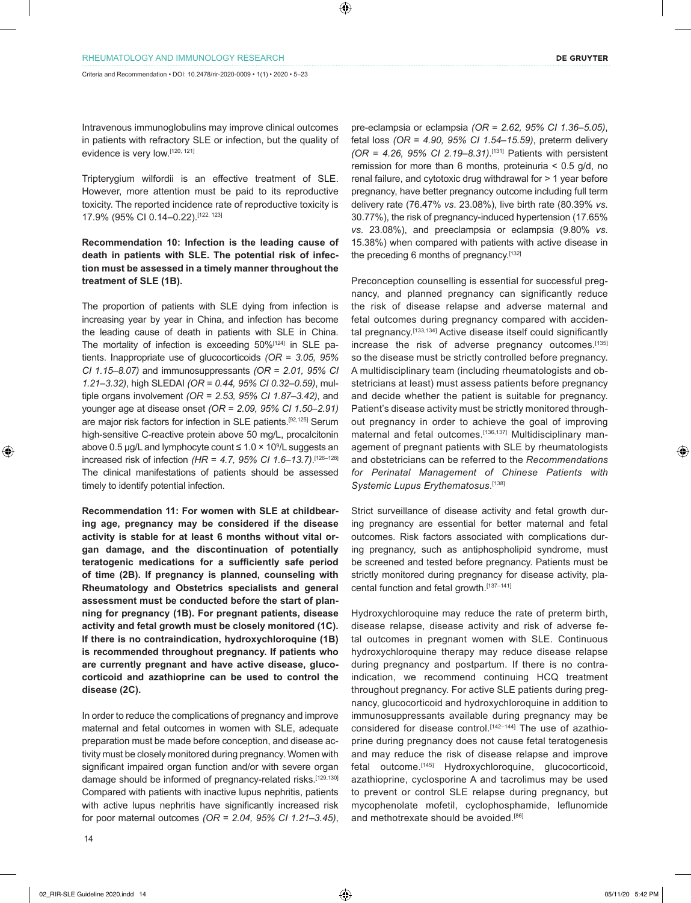Intravenous immunoglobulins may improve clinical outcomes in patients with refractory SLE or infection, but the quality of evidence is very low.[120, 121]

Tripterygium wilfordii is an effective treatment of SLE. However, more attention must be paid to its reproductive toxicity. The reported incidence rate of reproductive toxicity is 17.9% (95% CI 0.14–0.22).[122, 123]

### **Recommendation 10: Infection is the leading cause of death in patients with SLE. The potential risk of infection must be assessed in a timely manner throughout the treatment of SLE (1B).**

The proportion of patients with SLE dying from infection is increasing year by year in China, and infection has become the leading cause of death in patients with SLE in China. The mortality of infection is exceeding 50%<sup>[124]</sup> in SLE patients. Inappropriate use of glucocorticoids *(OR* = *3.05, 95% CI 1.15–8.07)* and immunosuppressants *(OR* = *2.01, 95% CI 1.21–3.32)*, high SLEDAI *(OR* = *0.44, 95% CI 0.32–0.59)*, multiple organs involvement *(OR* = *2.53, 95% CI 1.87–3.42)*, and younger age at disease onset *(OR* = *2.09, 95% CI 1.50–2.91)* are major risk factors for infection in SLE patients.[92,125] Serum high-sensitive C-reactive protein above 50 mg/L, procalcitonin above 0.5 μg/L and lymphocyte count ≤ 1.0 × 10<sup>9</sup>/L suggests an increased risk of infection *(HR* = *4.7, 95% CI 1.6–13.7)*. [126–128] The clinical manifestations of patients should be assessed timely to identify potential infection.

**Recommendation 11: For women with SLE at childbearing age, pregnancy may be considered if the disease activity is stable for at least 6 months without vital organ damage, and the discontinuation of potentially teratogenic medications for a sufficiently safe period of time (2B). If pregnancy is planned, counseling with Rheumatology and Obstetrics specialists and general assessment must be conducted before the start of planning for pregnancy (1B). For pregnant patients, disease activity and fetal growth must be closely monitored (1C). If there is no contraindication, hydroxychloroquine (1B) is recommended throughout pregnancy. If patients who are currently pregnant and have active disease, glucocorticoid and azathioprine can be used to control the disease (2C).**

In order to reduce the complications of pregnancy and improve maternal and fetal outcomes in women with SLE, adequate preparation must be made before conception, and disease activity must be closely monitored during pregnancy. Women with significant impaired organ function and/or with severe organ damage should be informed of pregnancy-related risks.<sup>[129,130]</sup> Compared with patients with inactive lupus nephritis, patients with active lupus nephritis have significantly increased risk for poor maternal outcomes *(OR* = *2.04, 95% CI 1.21–3.45)*,

pre-eclampsia or eclampsia *(OR* = *2.62, 95% CI 1.36–5.05)*, fetal loss *(OR* = *4.90, 95% CI 1.54–15.59)*, preterm delivery *(OR* = *4.26, 95% CI 2.19–8.31)*. [131] Patients with persistent remission for more than 6 months, proteinuria < 0.5 g/d, no renal failure, and cytotoxic drug withdrawal for > 1 year before pregnancy, have better pregnancy outcome including full term delivery rate (76.47% *vs*. 23.08%), live birth rate (80.39% *vs*. 30.77%), the risk of pregnancy-induced hypertension (17.65% *vs*. 23.08%), and preeclampsia or eclampsia (9.80% *vs*. 15.38%) when compared with patients with active disease in the preceding 6 months of pregnancy.[132]

Preconception counselling is essential for successful pregnancy, and planned pregnancy can significantly reduce the risk of disease relapse and adverse maternal and fetal outcomes during pregnancy compared with accidental pregnancy.<sup>[133,134]</sup> Active disease itself could significantly increase the risk of adverse pregnancy outcomes.<sup>[135]</sup> so the disease must be strictly controlled before pregnancy. A multidisciplinary team (including rheumatologists and obstetricians at least) must assess patients before pregnancy and decide whether the patient is suitable for pregnancy. Patient's disease activity must be strictly monitored throughout pregnancy in order to achieve the goal of improving maternal and fetal outcomes.<sup>[136,137]</sup> Multidisciplinary management of pregnant patients with SLE by rheumatologists and obstetricians can be referred to the *Recommendations for Perinatal Management of Chinese Patients with Systemic Lupus Erythematosus*. [138]

Strict surveillance of disease activity and fetal growth during pregnancy are essential for better maternal and fetal outcomes. Risk factors associated with complications during pregnancy, such as antiphospholipid syndrome, must be screened and tested before pregnancy. Patients must be strictly monitored during pregnancy for disease activity, placental function and fetal growth.[137–141]

Hydroxychloroquine may reduce the rate of preterm birth, disease relapse, disease activity and risk of adverse fetal outcomes in pregnant women with SLE. Continuous hydroxychloroquine therapy may reduce disease relapse during pregnancy and postpartum. If there is no contraindication, we recommend continuing HCQ treatment throughout pregnancy. For active SLE patients during pregnancy, glucocorticoid and hydroxychloroquine in addition to immunosuppressants available during pregnancy may be considered for disease control.<sup>[142-144]</sup> The use of azathioprine during pregnancy does not cause fetal teratogenesis and may reduce the risk of disease relapse and improve fetal outcome.[145] Hydroxychloroquine, glucocorticoid, azathioprine, cyclosporine A and tacrolimus may be used to prevent or control SLE relapse during pregnancy, but mycophenolate mofetil, cyclophosphamide, leflunomide and methotrexate should be avoided.<sup>[86]</sup>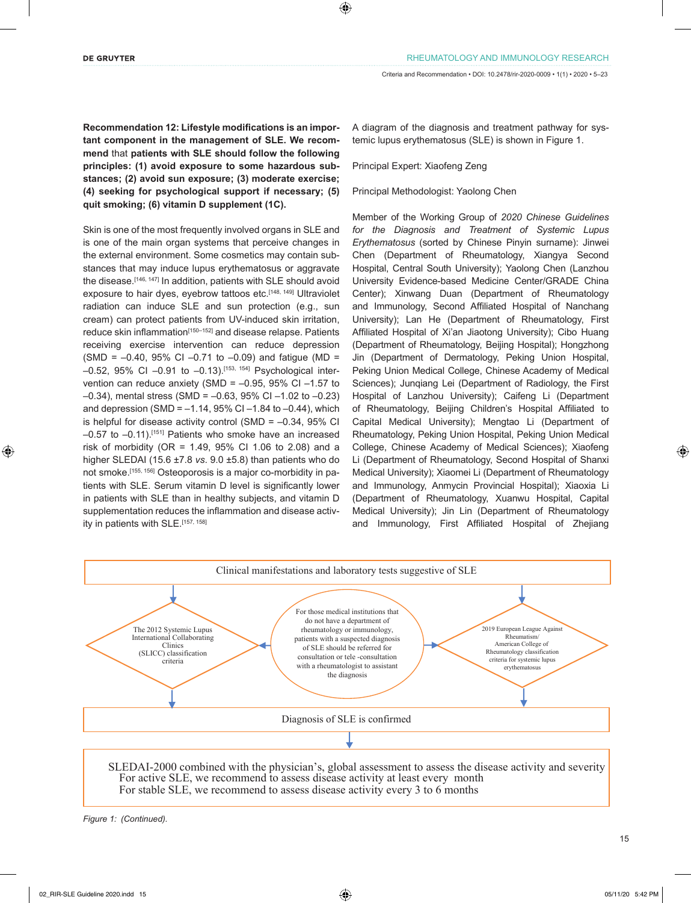**Recommendation 12: Lifestyle modifications is an important component in the management of SLE. We recommend** that **patients with SLE should follow the following principles: (1) avoid exposure to some hazardous substances; (2) avoid sun exposure; (3) moderate exercise; (4) seeking for psychological support if necessary; (5) quit smoking; (6) vitamin D supplement (1C).**

Skin is one of the most frequently involved organs in SLE and is one of the main organ systems that perceive changes in the external environment. Some cosmetics may contain substances that may induce lupus erythematosus or aggravate the disease.<sup>[146, 147]</sup> In addition, patients with SLE should avoid exposure to hair dyes, eyebrow tattoos etc.<sup>[148, 149]</sup> Ultraviolet radiation can induce SLE and sun protection (e.g., sun cream) can protect patients from UV-induced skin irritation, reduce skin inflammation<sup>[150–152]</sup> and disease relapse. Patients receiving exercise intervention can reduce depression  $(SMD = -0.40, 95\% \text{ CI} -0.71 \text{ to } -0.09)$  and fatigue (MD =  $-0.52$ , 95% CI  $-0.91$  to  $-0.13$ ).<sup>[153, 154]</sup> Psychological intervention can reduce anxiety (SMD =  $-0.95$ , 95% CI  $-1.57$  to –0.34), mental stress (SMD = –0.63, 95% CI –1.02 to –0.23) and depression (SMD =  $-1.14$ , 95% CI $-1.84$  to  $-0.44$ ), which is helpful for disease activity control (SMD =  $-0.34$ , 95% CI  $-0.57$  to  $-0.11$ ).<sup>[151]</sup> Patients who smoke have an increased risk of morbidity (OR =  $1.49$ ,  $95\%$  CI 1.06 to 2.08) and a higher SLEDAI (15.6 ±7.8 *vs*. 9.0 ±5.8) than patients who do not smoke.<sup>[155, 156]</sup> Osteoporosis is a major co-morbidity in patients with SLE. Serum vitamin D level is significantly lower in patients with SLE than in healthy subjects, and vitamin D supplementation reduces the inflammation and disease activity in patients with SLE.[157, 158]

A diagram of the diagnosis and treatment pathway for systemic lupus erythematosus (SLE) is shown in Figure 1.

Principal Expert: Xiaofeng Zeng

Principal Methodologist: Yaolong Chen

Member of the Working Group of *2020 Chinese Guidelines for the Diagnosis and Treatment of Systemic Lupus Erythematosus* (sorted by Chinese Pinyin surname): Jinwei Chen (Department of Rheumatology, Xiangya Second Hospital, Central South University); Yaolong Chen (Lanzhou University Evidence-based Medicine Center/GRADE China Center); Xinwang Duan (Department of Rheumatology and Immunology, Second Affiliated Hospital of Nanchang University); Lan He (Department of Rheumatology, First Affiliated Hospital of Xi'an Jiaotong University); Cibo Huang (Department of Rheumatology, Beijing Hospital); Hongzhong Jin (Department of Dermatology, Peking Union Hospital, Peking Union Medical College, Chinese Academy of Medical Sciences); Junqiang Lei (Department of Radiology, the First Hospital of Lanzhou University); Caifeng Li (Department of Rheumatology, Beijing Children's Hospital Affiliated to Capital Medical University); Mengtao Li (Department of Rheumatology, Peking Union Hospital, Peking Union Medical College, Chinese Academy of Medical Sciences); Xiaofeng Li (Department of Rheumatology, Second Hospital of Shanxi Medical University); Xiaomei Li (Department of Rheumatology and Immunology, Anmycin Provincial Hospital); Xiaoxia Li (Department of Rheumatology, Xuanwu Hospital, Capital Medical University); Jin Lin (Department of Rheumatology and Immunology, First Affiliated Hospital of Zhejiang



SLEDAI-2000 combined with the physician's, global assessment to assess the disease activity and severity For active SLE, we recommend to assess disease activity at least every month For stable SLE, we recommend to assess disease activity every 3 to 6 months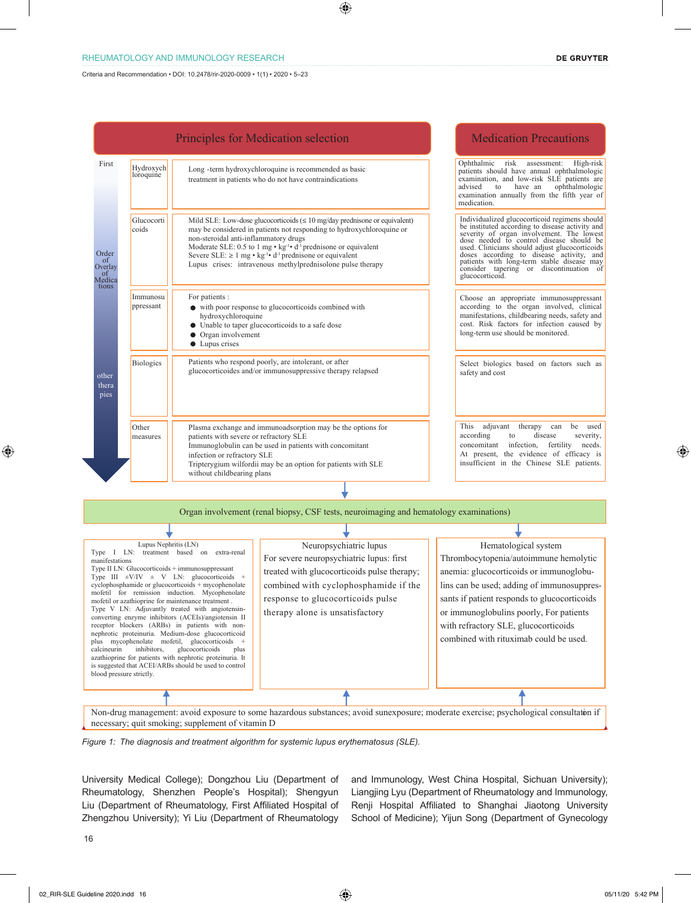### RHEUMATOLOGY AND IMMUNOLOGY RESEARCH

Criteria and Recommendation • DOI: 10.2478/rir-2020-0009 • 1(1) • 2020 • 5–23

|                                                                                                                                           |                                                                 |                                                                                                                                                                                                                                                                                                                                                                                                                                                                                                                                                                                                                                                                                                                                    | <b>Principles for Medication selection</b>                                                                                                                                                                                                                                                                                                                                                                                     | <b>Medication Precautions</b>                                                                                                                                                                                                                                                                                                                                                                       |
|-------------------------------------------------------------------------------------------------------------------------------------------|-----------------------------------------------------------------|------------------------------------------------------------------------------------------------------------------------------------------------------------------------------------------------------------------------------------------------------------------------------------------------------------------------------------------------------------------------------------------------------------------------------------------------------------------------------------------------------------------------------------------------------------------------------------------------------------------------------------------------------------------------------------------------------------------------------------|--------------------------------------------------------------------------------------------------------------------------------------------------------------------------------------------------------------------------------------------------------------------------------------------------------------------------------------------------------------------------------------------------------------------------------|-----------------------------------------------------------------------------------------------------------------------------------------------------------------------------------------------------------------------------------------------------------------------------------------------------------------------------------------------------------------------------------------------------|
| First<br>Hydroxych<br>loroquine<br>Glucocorti<br>coids<br>non-steroidal anti-inflammatory drugs<br>Order<br>of<br>Overlay<br>of<br>Medica |                                                                 |                                                                                                                                                                                                                                                                                                                                                                                                                                                                                                                                                                                                                                                                                                                                    | Long -term hydroxychloroquine is recommended as basic<br>treatment in patients who do not have contraindications                                                                                                                                                                                                                                                                                                               | Ophthalmic<br>risk<br>assessment:<br>High-risk<br>patients should have annual ophthalmologic<br>examination, and low-risk SLE patients are<br>ophthalmologic<br>advised<br>have an<br>to<br>examination annually from the fifth year of<br>medication.                                                                                                                                              |
|                                                                                                                                           |                                                                 |                                                                                                                                                                                                                                                                                                                                                                                                                                                                                                                                                                                                                                                                                                                                    | Mild SLE: Low-dose glucocorticoids $(\leq 10 \text{ mg/day})$ prednisone or equivalent)<br>may be considered in patients not responding to hydroxychloroquine or<br>Moderate SLE: 0.5 to 1 mg $\cdot$ kg <sup>-1</sup> $\cdot$ d <sup>-1</sup> prednisone or equivalent<br>Severe SLE: $\geq 1$ mg • kg <sup>-1</sup> • d <sup>-1</sup> prednisone or equivalent<br>Lupus crises: intravenous methylprednisolone pulse therapy | Individualized glucocorticoid regimens should<br>be instituted according to disease activity and<br>severity of organ involvement. The lowest<br>dose needed to control disease should be<br>used. Clinicians should adjust glucocorticoids<br>doses according to disease activity, and<br>patients with long-term stable disease may<br>consider tapering or discontinuation of<br>glucocorticoid. |
| tions                                                                                                                                     | Immunosu<br>ppressant                                           | For patients :<br>hydroxychloroquine<br>Organ involvement<br>Lupus crises                                                                                                                                                                                                                                                                                                                                                                                                                                                                                                                                                                                                                                                          | • with poor response to glucocorticoids combined with<br>Unable to taper glucocorticoids to a safe dose                                                                                                                                                                                                                                                                                                                        | Choose an appropriate immunosuppressant<br>according to the organ involved, clinical<br>manifestations, childbearing needs, safety and<br>cost. Risk factors for infection caused by<br>long-term use should be monitored.                                                                                                                                                                          |
| other<br>thera<br>pies                                                                                                                    | <b>Biologics</b>                                                |                                                                                                                                                                                                                                                                                                                                                                                                                                                                                                                                                                                                                                                                                                                                    | Patients who respond poorly, are intolerant, or after<br>glucocorticoides and/or immunosuppressive therapy relapsed                                                                                                                                                                                                                                                                                                            | Select biologics based on factors such as<br>safety and cost                                                                                                                                                                                                                                                                                                                                        |
|                                                                                                                                           | Other<br>measures                                               | patients with severe or refractory SLE<br>infection or refractory SLE<br>without childbearing plans                                                                                                                                                                                                                                                                                                                                                                                                                                                                                                                                                                                                                                | Plasma exchange and immunoadsorption may be the options for<br>Immunoglobulin can be used in patients with concomitant<br>Tripterygium wilfordii may be an option for patients with SLE                                                                                                                                                                                                                                        | This adjuvant<br>therapy can<br>be used<br>according<br>disease<br>severity,<br>to<br>infection,<br>fertility<br>needs.<br>concomitant<br>At present, the evidence of efficacy is<br>insufficient in the Chinese SLE patients.                                                                                                                                                                      |
|                                                                                                                                           |                                                                 |                                                                                                                                                                                                                                                                                                                                                                                                                                                                                                                                                                                                                                                                                                                                    |                                                                                                                                                                                                                                                                                                                                                                                                                                |                                                                                                                                                                                                                                                                                                                                                                                                     |
|                                                                                                                                           |                                                                 |                                                                                                                                                                                                                                                                                                                                                                                                                                                                                                                                                                                                                                                                                                                                    | Organ involvement (renal biopsy, CSF tests, neuroimaging and hematology examinations)                                                                                                                                                                                                                                                                                                                                          |                                                                                                                                                                                                                                                                                                                                                                                                     |
|                                                                                                                                           |                                                                 |                                                                                                                                                                                                                                                                                                                                                                                                                                                                                                                                                                                                                                                                                                                                    |                                                                                                                                                                                                                                                                                                                                                                                                                                |                                                                                                                                                                                                                                                                                                                                                                                                     |
| manifestations<br>calcineurin                                                                                                             | Lupus Nephritis (LN)<br>inhibitors,<br>blood pressure strictly. | Type I LN: treatment based on extra-renal<br>Type II LN: Glucocorticoids + immunosuppressant<br>Type III $\pm$ V/IV $\pm$ V LN: glucocorticoids +<br>cyclophosphamide or glucocorticoids + mycophenolate<br>mofetil for remission induction. Mycophenolate<br>mofetil or azathioprine for maintenance treatment.<br>Type V LN: Adjuvantly treated with angiotensin-<br>converting enzyme inhibitors (ACEIs)/angiotensin II<br>receptor blockers (ARBs) in patients with non-<br>nephrotic proteinuria. Medium-dose glucocorticoid<br>plus mycophenolate mofetil, glucocorticoids +<br>glucocorticoids<br>plus<br>azathioprine for patients with nephrotic proteinuria. It<br>is suggested that ACEI/ARBs should be used to control | Neuropsychiatric lupus<br>For severe neuropsychiatric lupus: first<br>treated with glucocorticoids pulse therapy;<br>combined with cyclophosphamide if the<br>response to glucocorticoids pulse<br>therapy alone is unsatisfactory                                                                                                                                                                                             | Hematological system<br>Thrombocytopenia/autoimmune hemolytic<br>anemia: glucocorticoids or immunoglobu-<br>lins can be used; adding of immunosuppres-<br>sants if patient responds to glucocorticoids<br>or immunoglobulins poorly, For patients<br>with refractory SLE, glucocorticoids<br>combined with rituximab could be used.                                                                 |
|                                                                                                                                           |                                                                 |                                                                                                                                                                                                                                                                                                                                                                                                                                                                                                                                                                                                                                                                                                                                    |                                                                                                                                                                                                                                                                                                                                                                                                                                |                                                                                                                                                                                                                                                                                                                                                                                                     |
|                                                                                                                                           |                                                                 | necessary; quit smoking; supplement of vitamin D                                                                                                                                                                                                                                                                                                                                                                                                                                                                                                                                                                                                                                                                                   | Non-drug management: avoid exposure to some hazardous substances; avoid sunexposure; moderate exercise; psychological consultation if                                                                                                                                                                                                                                                                                          |                                                                                                                                                                                                                                                                                                                                                                                                     |

*Figure 1: The diagnosis and treatment algorithm for systemic lupus erythematosus (SLE).*

University Medical College); Dongzhou Liu (Department of Rheumatology, Shenzhen People's Hospital); Shengyun Liu (Department of Rheumatology, First Affiliated Hospital of Zhengzhou University); Yi Liu (Department of Rheumatology

and Immunology, West China Hospital, Sichuan University); Liangjing Lyu (Department of Rheumatology and Immunology, Renji Hospital Affiliated to Shanghai Jiaotong University School of Medicine); Yijun Song (Department of Gynecology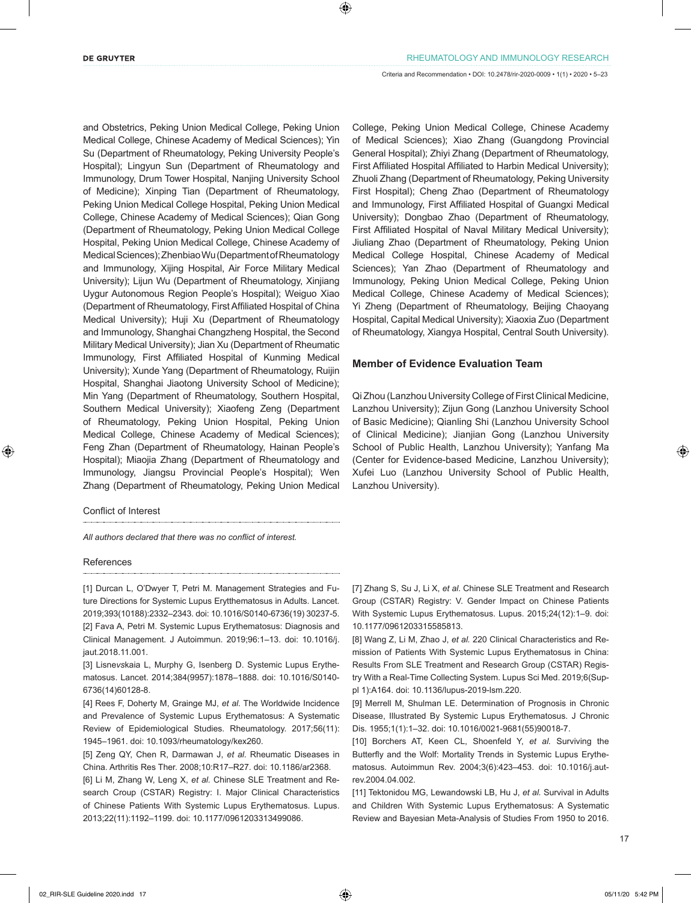and Obstetrics, Peking Union Medical College, Peking Union Medical College, Chinese Academy of Medical Sciences); Yin Su (Department of Rheumatology, Peking University People's Hospital); Lingyun Sun (Department of Rheumatology and Immunology, Drum Tower Hospital, Nanjing University School of Medicine); Xinping Tian (Department of Rheumatology, Peking Union Medical College Hospital, Peking Union Medical College, Chinese Academy of Medical Sciences); Qian Gong (Department of Rheumatology, Peking Union Medical College Hospital, Peking Union Medical College, Chinese Academy of Medical Sciences); Zhenbiao Wu (Department of Rheumatology and Immunology, Xijing Hospital, Air Force Military Medical University); Lijun Wu (Department of Rheumatology, Xinjiang Uygur Autonomous Region People's Hospital); Weiguo Xiao (Department of Rheumatology, First Affiliated Hospital of China Medical University); Huji Xu (Department of Rheumatology and Immunology, Shanghai Changzheng Hospital, the Second Military Medical University); Jian Xu (Department of Rheumatic Immunology, First Affiliated Hospital of Kunming Medical University); Xunde Yang (Department of Rheumatology, Ruijin Hospital, Shanghai Jiaotong University School of Medicine); Min Yang (Department of Rheumatology, Southern Hospital, Southern Medical University); Xiaofeng Zeng (Department of Rheumatology, Peking Union Hospital, Peking Union Medical College, Chinese Academy of Medical Sciences); Feng Zhan (Department of Rheumatology, Hainan People's Hospital); Miaojia Zhang (Department of Rheumatology and Immunology, Jiangsu Provincial People's Hospital); Wen Zhang (Department of Rheumatology, Peking Union Medical

Conflict of Interest

*All authors declared that there was no conflict of interest.*

### References

[1] Durcan L, O'Dwyer T, Petri M. Management Strategies and Future Directions for Systemic Lupus Erytthematosus in Adults. Lancet. 2019;393(10188):2332–2343. doi: 10.1016/S0140-6736(19) 30237-5. [2] Fava A, Petri M. Systemic Lupus Erythematosus: Diagnosis and Clinical Management. J Autoimmun. 2019;96:1–13. doi: 10.1016/j. jaut.2018.11.001.

[3] Lisne*vs*kaia L, Murphy G, Isenberg D. Systemic Lupus Erythematosus. Lancet. 2014;384(9957):1878–1888. doi: 10.1016/S0140- 6736(14)60128-8.

[4] Rees F, Doherty M, Grainge MJ, *et al.* The Worldwide Incidence and Prevalence of Systemic Lupus Erythematosus: A Systematic Review of Epidemiological Studies. Rheumatology. 2017;56(11): 1945–1961. doi: 10.1093/rheumatology/kex260.

[5] Zeng QY, Chen R, Darmawan J, *et al.* Rheumatic Diseases in China. Arthritis Res Ther. 2008;10:R17–R27. doi: 10.1186/ar2368.

[6] Li M, Zhang W, Leng X, *et al.* Chinese SLE Treatment and Research Croup (CSTAR) Registry: I. Major Clinical Characteristics of Chinese Patients With Systemic Lupus Erythematosus. Lupus. 2013;22(11):1192–1199. doi: 10.1177/0961203313499086.

College, Peking Union Medical College, Chinese Academy of Medical Sciences); Xiao Zhang (Guangdong Provincial General Hospital); Zhiyi Zhang (Department of Rheumatology, First Affiliated Hospital Affiliated to Harbin Medical University); Zhuoli Zhang (Department of Rheumatology, Peking University First Hospital); Cheng Zhao (Department of Rheumatology and Immunology, First Affiliated Hospital of Guangxi Medical University); Dongbao Zhao (Department of Rheumatology, First Affiliated Hospital of Naval Military Medical University); Jiuliang Zhao (Department of Rheumatology, Peking Union Medical College Hospital, Chinese Academy of Medical Sciences); Yan Zhao (Department of Rheumatology and Immunology, Peking Union Medical College, Peking Union Medical College, Chinese Academy of Medical Sciences); Yi Zheng (Department of Rheumatology, Beijing Chaoyang Hospital, Capital Medical University); Xiaoxia Zuo (Department of Rheumatology, Xiangya Hospital, Central South University).

### **Member of Evidence Evaluation Team**

Qi Zhou (Lanzhou University College of First Clinical Medicine, Lanzhou University); Zijun Gong (Lanzhou University School of Basic Medicine); Qianling Shi (Lanzhou University School of Clinical Medicine); Jianjian Gong (Lanzhou University School of Public Health, Lanzhou University); Yanfang Ma (Center for Evidence-based Medicine, Lanzhou University); Xufei Luo (Lanzhou University School of Public Health, Lanzhou University).

[7] Zhang S, Su J, Li X, *et al.* Chinese SLE Treatment and Research Group (CSTAR) Registry: V. Gender Impact on Chinese Patients With Systemic Lupus Erythematosus. Lupus. 2015;24(12):1–9. doi: 10.1177/0961203315585813.

[8] Wang Z, Li M, Zhao J, *et al.* 220 Clinical Characteristics and Remission of Patients With Systemic Lupus Erythematosus in China: Results From SLE Treatment and Research Group (CSTAR) Registry With a Real-Time Collecting System. Lupus Sci Med. 2019;6(Suppl 1):A164. doi: 10.1136/lupus-2019-lsm.220.

[9] Merrell M, Shulman LE. Determination of Prognosis in Chronic Disease, Illustrated By Systemic Lupus Erythematosus. J Chronic Dis. 1955;1(1):1–32. doi: 10.1016/0021-9681(55)90018-7.

[10] Borchers AT, Keen CL, Shoenfeld Y, *et al.* Surviving the Butterfly and the Wolf: Mortality Trends in Systemic Lupus Erythematosus. Autoimmun Rev. 2004;3(6):423–453. doi: 10.1016/j.autrev.2004.04.002.

[11] Tektonidou MG, Lewandowski LB, Hu J, *et al.* Survival in Adults and Children With Systemic Lupus Erythematosus: A Systematic Review and Bayesian Meta-Analysis of Studies From 1950 to 2016.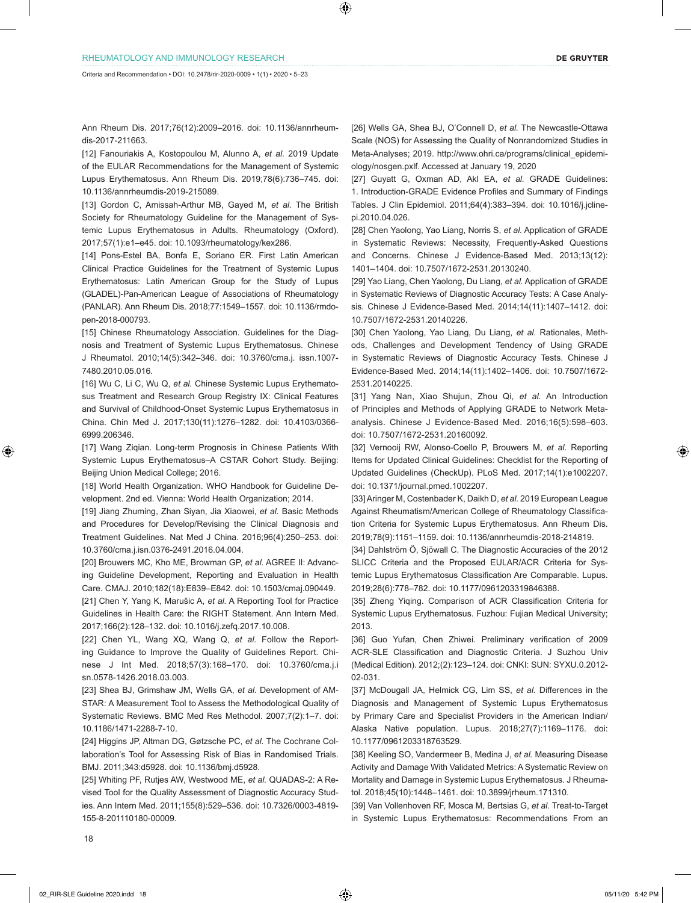Ann Rheum Dis. 2017;76(12):2009–2016. doi: 10.1136/annrheumdis-2017-211663.

[12] Fanouriakis A, Kostopoulou M, Alunno A, *et al.* 2019 Update of the EULAR Recommendations for the Management of Systemic Lupus Erythematosus. Ann Rheum Dis. 2019;78(6):736–745. doi: 10.1136/annrheumdis-2019-215089.

[13] Gordon C, Amissah-Arthur MB, Gayed M, et al. The British Society for Rheumatology Guideline for the Management of Systemic Lupus Erythematosus in Adults. Rheumatology (Oxford). 2017;57(1):e1–e45. doi: 10.1093/rheumatology/kex286.

[14] Pons-Estel BA, Bonfa E, Soriano ER. First Latin American Clinical Practice Guidelines for the Treatment of Systemic Lupus Erythematosus: Latin American Group for the Study of Lupus (GLADEL)-Pan-American League of Associations of Rheumatology (PANLAR). Ann Rheum Dis. 2018;77:1549–1557. doi: 10.1136/rmdopen-2018-000793.

[15] Chinese Rheumatology Association. Guidelines for the Diagnosis and Treatment of Systemic Lupus Erythematosus. Chinese J Rheumatol. 2010;14(5):342–346. doi: 10.3760/cma.j. issn.1007- 7480.2010.05.016.

[16] Wu C, Li C, Wu Q, *et al.* Chinese Systemic Lupus Erythematosus Treatment and Research Group Registry IX: Clinical Features and Survival of Childhood-Onset Systemic Lupus Erythematosus in China. Chin Med J. 2017;130(11):1276–1282. doi: 10.4103/0366- 6999.206346.

[17] Wang Ziqian. Long-term Prognosis in Chinese Patients With Systemic Lupus Erythematosus–A CSTAR Cohort Study. Beijing: Beijing Union Medical College; 2016.

[18] World Health Organization. WHO Handbook for Guideline Development. 2nd ed. Vienna: World Health Organization; 2014.

[19] Jiang Zhuming, Zhan Siyan, Jia Xiaowei, *et al.* Basic Methods and Procedures for Develop/Revising the Clinical Diagnosis and Treatment Guidelines. Nat Med J China. 2016;96(4):250–253. doi: 10.3760/cma.j.isn.0376-2491.2016.04.004.

[20] Brouwers MC, Kho ME, Browman GP, *et al.* AGREE II: Advancing Guideline Development, Reporting and Evaluation in Health Care. CMAJ. 2010;182(18):E839–E842. doi: 10.1503/cmaj.090449.

[21] Chen Y, Yang K, Marušic A, *et al.* A Reporting Tool for Practice Guidelines in Health Care: the RIGHT Statement. Ann Intern Med. 2017;166(2):128–132. doi: 10.1016/j.zefq.2017.10.008.

[22] Chen YL, Wang XQ, Wang Q, *et al.* Follow the Reporting Guidance to Improve the Quality of Guidelines Report. Chinese J Int Med. 2018;57(3):168–170. doi: 10.3760/cma.j.i sn.0578-1426.2018.03.003.

[23] Shea BJ, Grimshaw JM, Wells GA, *et al.* Development of AM-STAR: A Measurement Tool to Assess the Methodological Quality of Systematic Reviews. BMC Med Res Methodol. 2007;7(2):1–7. doi: 10.1186/1471-2288-7-10.

[24] Higgins JP, Altman DG, Gøtzsche PC, *et al.* The Cochrane Collaboration's Tool for Assessing Risk of Bias in Randomised Trials. BMJ. 2011;343:d5928. doi: 10.1136/bmj.d5928.

[25] Whiting PF, Rutjes AW, Westwood ME, *et al.* QUADAS-2: A Revised Tool for the Quality Assessment of Diagnostic Accuracy Studies. Ann Intern Med. 2011;155(8):529–536. doi: 10.7326/0003-4819- 155-8-201110180-00009.

[26] Wells GA, Shea BJ, O'Connell D, *et al.* The Newcastle-Ottawa Scale (NOS) for Assessing the Quality of Nonrandomized Studies in Meta-Analyses; 2019. http://www.ohri.ca/programs/clinical\_epidemiology/nosgen.pxlf. Accessed at January 19, 2020

[27] Guyatt G, Oxman AD, Akl EA, *et al.* GRADE Guidelines: 1. Introduction-GRADE Evidence Profiles and Summary of Findings Tables. J Clin Epidemiol. 2011;64(4):383–394. doi: 10.1016/j.jclinepi.2010.04.026.

[28] Chen Yaolong, Yao Liang, Norris S, *et al.* Application of GRADE in Systematic Reviews: Necessity, Frequently-Asked Questions and Concerns. Chinese J Evidence-Based Med. 2013;13(12): 1401–1404. doi: 10.7507/1672-2531.20130240.

[29] Yao Liang, Chen Yaolong, Du Liang, *et al.* Application of GRADE in Systematic Reviews of Diagnostic Accuracy Tests: A Case Analysis. Chinese J Evidence-Based Med. 2014;14(11):1407–1412. doi: 10.7507/1672-2531.20140226.

[30] Chen Yaolong, Yao Liang, Du Liang, *et al.* Rationales, Methods, Challenges and Development Tendency of Using GRADE in Systematic Reviews of Diagnostic Accuracy Tests. Chinese J Evidence-Based Med. 2014;14(11):1402–1406. doi: 10.7507/1672- 2531.20140225.

[31] Yang Nan, Xiao Shujun, Zhou Qi, *et al.* An Introduction of Principles and Methods of Applying GRADE to Network Metaanalysis. Chinese J Evidence-Based Med. 2016;16(5):598–603. doi: 10.7507/1672-2531.20160092.

[32] Vernooij RW, Alonso-Coello P, Brouwers M, *et al.* Reporting Items for Updated Clinical Guidelines: Checklist for the Reporting of Updated Guidelines (CheckUp). PLoS Med. 2017;14(1):e1002207. doi: 10.1371/journal.pmed.1002207.

[33] Aringer M, Costenbader K, Daikh D, *et al.* 2019 European League Against Rheumatism/American College of Rheumatology Classification Criteria for Systemic Lupus Erythematosus. Ann Rheum Dis. 2019;78(9):1151–1159. doi: 10.1136/annrheumdis-2018-214819.

[34] Dahlström Ö, Sjöwall C. The Diagnostic Accuracies of the 2012 SLICC Criteria and the Proposed EULAR/ACR Criteria for Systemic Lupus Erythematosus Classification Are Comparable. Lupus. 2019;28(6):778–782. doi: 10.1177/0961203319846388.

[35] Zheng Yiging. Comparison of ACR Classification Criteria for Systemic Lupus Erythematosus. Fuzhou: Fujian Medical University; 2013.

[36] Guo Yufan, Chen Zhiwei. Preliminary verification of 2009 ACR-SLE Classification and Diagnostic Criteria. J Suzhou Univ (Medical Edition). 2012;(2):123–124. doi: CNKI: SUN: SYXU.0.2012- 02-031.

[37] McDougall JA, Helmick CG, Lim SS, *et al.* Differences in the Diagnosis and Management of Systemic Lupus Erythematosus by Primary Care and Specialist Providers in the American Indian/ Alaska Native population. Lupus. 2018;27(7):1169–1176. doi: 10.1177/0961203318763529.

[38] Keeling SO, Vandermeer B, Medina J, *et al.* Measuring Disease Activity and Damage With Validated Metrics: A Systematic Review on Mortality and Damage in Systemic Lupus Erythematosus. J Rheumatol. 2018;45(10):1448–1461. doi: 10.3899/jrheum.171310.

[39] Van Vollenhoven RF, Mosca M, Bertsias G, *et al.* Treat-to-Target in Systemic Lupus Erythematosus: Recommendations From an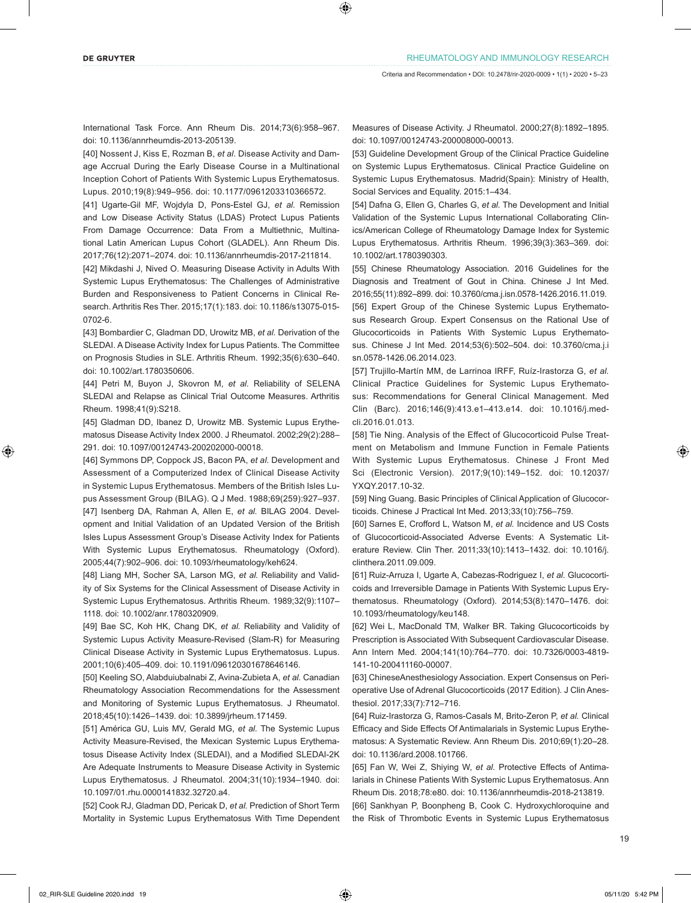International Task Force. Ann Rheum Dis. 2014;73(6):958–967. doi: 10.1136/annrheumdis-2013-205139.

[40] Nossent J, Kiss E, Rozman B, *et al.* Disease Activity and Damage Accrual During the Early Disease Course in a Multinational Inception Cohort of Patients With Systemic Lupus Erythematosus. Lupus. 2010;19(8):949–956. doi: 10.1177/0961203310366572.

[41] Ugarte-Gil MF, Wojdyla D, Pons-Estel GJ, *et al.* Remission and Low Disease Activity Status (LDAS) Protect Lupus Patients From Damage Occurrence: Data From a Multiethnic, Multinational Latin American Lupus Cohort (GLADEL). Ann Rheum Dis. 2017;76(12):2071–2074. doi: 10.1136/annrheumdis-2017-211814.

[42] Mikdashi J, Nived O. Measuring Disease Activity in Adults With Systemic Lupus Erythematosus: The Challenges of Administrative Burden and Responsiveness to Patient Concerns in Clinical Research. Arthritis Res Ther. 2015;17(1):183. doi: 10.1186/s13075-015- 0702-6.

[43] Bombardier C, Gladman DD, Urowitz MB, *et al.* Derivation of the SLEDAI. A Disease Activity Index for Lupus Patients. The Committee on Prognosis Studies in SLE. Arthritis Rheum. 1992;35(6):630–640. doi: 10.1002/art.1780350606.

[44] Petri M, Buyon J, Skovron M, *et al.* Reliability of SELENA SLEDAI and Relapse as Clinical Trial Outcome Measures. Arthritis Rheum. 1998;41(9):S218.

[45] Gladman DD, Ibanez D, Urowitz MB. Systemic Lupus Erythematosus Disease Activity Index 2000. J Rheumatol. 2002;29(2):288– 291. doi: 10.1097/00124743-200202000-00018.

[46] Symmons DP, Coppock JS, Bacon PA, *et al.* Development and Assessment of a Computerized Index of Clinical Disease Activity in Systemic Lupus Erythematosus. Members of the British Isles Lupus Assessment Group (BILAG). Q J Med. 1988;69(259):927–937. [47] Isenberg DA, Rahman A, Allen E, *et al.* BILAG 2004. Development and Initial Validation of an Updated Version of the British Isles Lupus Assessment Group's Disease Activity Index for Patients With Systemic Lupus Erythematosus. Rheumatology (Oxford). 2005;44(7):902–906. doi: 10.1093/rheumatology/keh624.

[48] Liang MH, Socher SA, Larson MG, et al. Reliability and Validity of Six Systems for the Clinical Assessment of Disease Activity in Systemic Lupus Erythematosus. Arthritis Rheum. 1989;32(9):1107– 1118. doi: 10.1002/anr.1780320909.

[49] Bae SC, Koh HK, Chang DK, et al. Reliability and Validity of Systemic Lupus Activity Measure-Revised (Slam-R) for Measuring Clinical Disease Activity in Systemic Lupus Erythematosus. Lupus. 2001;10(6):405–409. doi: 10.1191/096120301678646146.

[50] Keeling SO, Alabduiubalnabi Z, Avina-Zubieta A, *et al.* Canadian Rheumatology Association Recommendations for the Assessment and Monitoring of Systemic Lupus Erythematosus. J Rheumatol. 2018;45(10):1426–1439. doi: 10.3899/jrheum.171459.

[51] América GU, Luis MV, Gerald MG, *et al.* The Systemic Lupus Activity Measure-Revised, the Mexican Systemic Lupus Erythematosus Disease Activity Index (SLEDAI), and a Modified SLEDAI-2K Are Adequate Instruments to Measure Disease Activity in Systemic Lupus Erythematosus. J Rheumatol. 2004;31(10):1934–1940. doi: 10.1097/01.rhu.0000141832.32720.a4.

[52] Cook RJ, Gladman DD, Pericak D, *et al.* Prediction of Short Term Mortality in Systemic Lupus Erythematosus With Time Dependent Measures of Disease Activity. J Rheumatol. 2000;27(8):1892–1895. doi: 10.1097/00124743-200008000-00013.

[53] Guideline Development Group of the Clinical Practice Guideline on Systemic Lupus Erythematosus. Clinical Practice Guideline on Systemic Lupus Erythematosus. Madrid(Spain): Ministry of Health, Social Services and Equality. 2015:1–434.

[54] Dafna G, Ellen G, Charles G, *et al.* The Development and Initial Validation of the Systemic Lupus International Collaborating Clinics/American College of Rheumatology Damage Index for Systemic Lupus Erythematosus. Arthritis Rheum. 1996;39(3):363–369. doi: 10.1002/art.1780390303.

[55] Chinese Rheumatology Association. 2016 Guidelines for the Diagnosis and Treatment of Gout in China. Chinese J Int Med. 2016;55(11):892–899. doi: 10.3760/cma.j.isn.0578-1426.2016.11.019. [56] Expert Group of the Chinese Systemic Lupus Erythematosus Research Group. Expert Consensus on the Rational Use of Glucocorticoids in Patients With Systemic Lupus Erythematosus. Chinese J Int Med. 2014;53(6):502–504. doi: 10.3760/cma.j.i sn.0578-1426.06.2014.023.

[57] Trujillo-Martín MM, de Larrinoa IRFF, Ruíz-Irastorza G, *et al.* Clinical Practice Guidelines for Systemic Lupus Erythematosus: Recommendations for General Clinical Management. Med Clin (Barc). 2016;146(9):413.e1–413.e14. doi: 10.1016/j.medcli.2016.01.013.

[58] Tie Ning. Analysis of the Effect of Glucocorticoid Pulse Treatment on Metabolism and Immune Function in Female Patients With Systemic Lupus Erythematosus. Chinese J Front Med Sci (Electronic Version). 2017;9(10):149–152. doi: 10.12037/ YXQY.2017.10-32.

[59] Ning Guang. Basic Principles of Clinical Application of Glucocorticoids. Chinese J Practical Int Med. 2013;33(10):756–759.

[60] Sarnes E, Crofford L, Watson M, *et al.* Incidence and US Costs of Glucocorticoid-Associated Adverse Events: A Systematic Literature Review. Clin Ther. 2011;33(10):1413–1432. doi: 10.1016/j. clinthera.2011.09.009.

[61] Ruiz-Arruza I, Ugarte A, Cabezas-Rodriguez I, *et al.* Glucocorticoids and Irreversible Damage in Patients With Systemic Lupus Erythematosus. Rheumatology (Oxford). 2014;53(8):1470–1476. doi: 10.1093/rheumatology/keu148.

[62] Wei L, MacDonald TM, Walker BR. Taking Glucocorticoids by Prescription is Associated With Subsequent Cardiovascular Disease. Ann Intern Med. 2004;141(10):764–770. doi: 10.7326/0003-4819- 141-10-200411160-00007.

[63] ChineseAnesthesiology Association. Expert Consensus on Perioperative Use of Adrenal Glucocorticoids (2017 Edition). J Clin Anesthesiol. 2017;33(7):712–716.

[64] Ruiz-Irastorza G, Ramos-Casals M, Brito-Zeron P, *et al.* Clinical Efficacy and Side Effects Of Antimalarials in Systemic Lupus Erythematosus: A Systematic Review. Ann Rheum Dis. 2010;69(1):20–28. doi: 10.1136/ard.2008.101766.

[65] Fan W, Wei Z, Shiying W, *et al.* Protective Effects of Antimalarials in Chinese Patients With Systemic Lupus Erythematosus. Ann Rheum Dis. 2018;78:e80. doi: 10.1136/annrheumdis-2018-213819.

[66] Sankhyan P, Boonpheng B, Cook C. Hydroxychloroquine and the Risk of Thrombotic Events in Systemic Lupus Erythematosus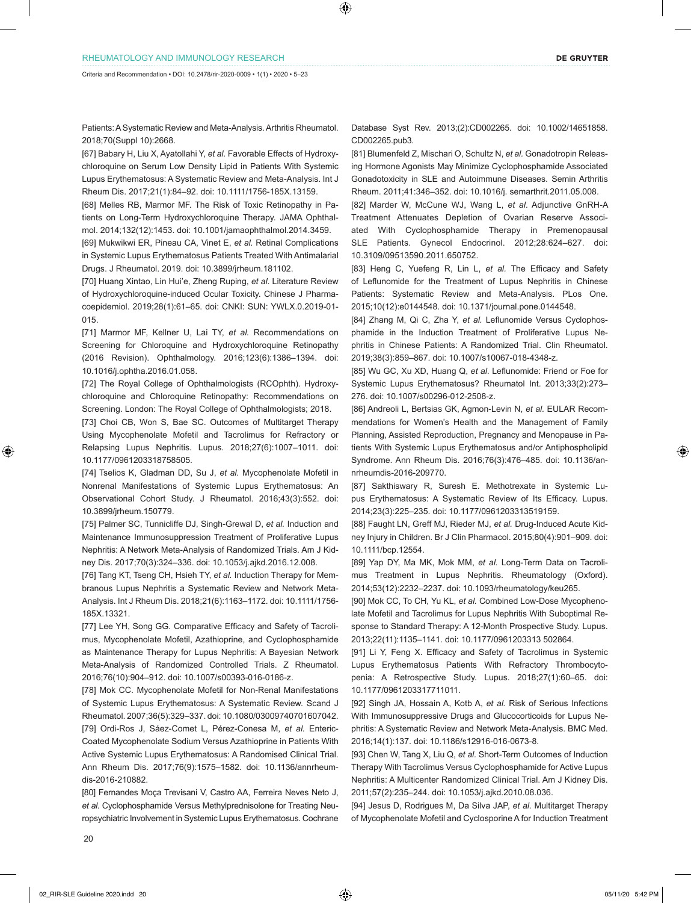Patients: A Systematic Review and Meta-Analysis. Arthritis Rheumatol. 2018;70(Suppl 10):2668.

[67] Babary H, Liu X, Ayatollahi Y, *et al.* Favorable Effects of Hydroxychloroquine on Serum Low Density Lipid in Patients With Systemic Lupus Erythematosus: A Systematic Review and Meta-Analysis. Int J Rheum Dis. 2017;21(1):84–92. doi: 10.1111/1756-185X.13159.

[68] Melles RB, Marmor MF. The Risk of Toxic Retinopathy in Patients on Long-Term Hydroxychloroquine Therapy. JAMA Ophthalmol. 2014;132(12):1453. doi: 10.1001/jamaophthalmol.2014.3459.

[69] Mukwikwi ER, Pineau CA, Vinet E, *et al.* Retinal Complications in Systemic Lupus Erythematosus Patients Treated With Antimalarial Drugs. J Rheumatol. 2019. doi: 10.3899/jrheum.181102.

[70] Huang Xintao, Lin Hui'e, Zheng Ruping, *et al*. Literature Review of Hydroxychloroquine-induced Ocular Toxicity. Chinese J Pharmacoepidemiol. 2019;28(1):61–65. doi: CNKI: SUN: YWLX.0.2019-01- 015.

[71] Marmor MF, Kellner U, Lai TY, *et al.* Recommendations on Screening for Chloroquine and Hydroxychloroquine Retinopathy (2016 Revision). Ophthalmology. 2016;123(6):1386–1394. doi: 10.1016/j.ophtha.2016.01.058.

[72] The Royal College of Ophthalmologists (RCOphth). Hydroxychloroquine and Chloroquine Retinopathy: Recommendations on Screening. London: The Royal College of Ophthalmologists; 2018.

[73] Choi CB, Won S, Bae SC. Outcomes of Multitarget Therapy Using Mycophenolate Mofetil and Tacrolimus for Refractory or Relapsing Lupus Nephritis. Lupus. 2018;27(6):1007–1011. doi: 10.1177/0961203318758505.

[74] Tselios K, Gladman DD, Su J, *et al.* Mycophenolate Mofetil in Nonrenal Manifestations of Systemic Lupus Erythematosus: An Observational Cohort Study. J Rheumatol. 2016;43(3):552. doi: 10.3899/jrheum.150779.

[75] Palmer SC, Tunnicliffe DJ, Singh-Grewal D, *et al.* Induction and Maintenance Immunosuppression Treatment of Proliferative Lupus Nephritis: A Network Meta-Analysis of Randomized Trials. Am J Kidney Dis. 2017;70(3):324–336. doi: 10.1053/j.ajkd.2016.12.008.

[76] Tang KT, Tseng CH, Hsieh TY, *et al.* Induction Therapy for Membranous Lupus Nephritis a Systematic Review and Network Meta-Analysis. Int J Rheum Dis. 2018;21(6):1163–1172. doi: 10.1111/1756- 185X.13321.

[77] Lee YH, Song GG. Comparative Efficacy and Safety of Tacrolimus, Mycophenolate Mofetil, Azathioprine, and Cyclophosphamide as Maintenance Therapy for Lupus Nephritis: A Bayesian Network Meta-Analysis of Randomized Controlled Trials. Z Rheumatol. 2016;76(10):904–912. doi: 10.1007/s00393-016-0186-z.

[78] Mok CC. Mycophenolate Mofetil for Non-Renal Manifestations of Systemic Lupus Erythematosus: A Systematic Review. Scand J Rheumatol. 2007;36(5):329–337. doi: 10.1080/03009740701607042. [79] Ordi-Ros J, Sáez-Comet L, Pérez-Conesa M, *et al.* Enteric-Coated Mycophenolate Sodium Versus Azathioprine in Patients With Active Systemic Lupus Erythematosus: A Randomised Clinical Trial. Ann Rheum Dis. 2017;76(9):1575–1582. doi: 10.1136/annrheumdis-2016-210882.

[80] Fernandes Moça Trevisani V, Castro AA, Ferreira Neves Neto J, *et al.* Cyclophosphamide Versus Methylprednisolone for Treating Neuropsychiatric Involvement in Systemic Lupus Erythematosus. Cochrane Database Syst Rev. 2013;(2):CD002265. doi: 10.1002/14651858. CD002265.pub3.

[81] Blumenfeld Z, Mischari O, Schultz N, *et al.* Gonadotropin Releasing Hormone Agonists May Minimize Cyclophosphamide Associated Gonadotoxicity in SLE and Autoimmune Diseases. Semin Arthritis Rheum. 2011;41:346–352. doi: 10.1016/j. semarthrit.2011.05.008.

[82] Marder W, McCune WJ, Wang L, *et al.* Adjunctive GnRH-A Treatment Attenuates Depletion of Ovarian Reserve Associated With Cyclophosphamide Therapy in Premenopausal SLE Patients. Gynecol Endocrinol. 2012;28:624–627. doi: 10.3109/09513590.2011.650752.

[83] Heng C, Yuefeng R, Lin L, et al. The Efficacy and Safety of Leflunomide for the Treatment of Lupus Nephritis in Chinese Patients: Systematic Review and Meta-Analysis. PLos One. 2015;10(12):e0144548. doi: 10.1371/journal.pone.0144548.

[84] Zhang M, Qi C, Zha Y, *et al.* Leflunomide Versus Cyclophosphamide in the Induction Treatment of Proliferative Lupus Nephritis in Chinese Patients: A Randomized Trial. Clin Rheumatol. 2019;38(3):859–867. doi: 10.1007/s10067-018-4348-z.

[85] Wu GC, Xu XD, Huang Q, *et al*. Leflunomide: Friend or Foe for Systemic Lupus Erythematosus? Rheumatol Int. 2013;33(2):273– 276. doi: 10.1007/s00296-012-2508-z.

[86] Andreoli L, Bertsias GK, Agmon-Levin N, *et al.* EULAR Recommendations for Women's Health and the Management of Family Planning, Assisted Reproduction, Pregnancy and Menopause in Patients With Systemic Lupus Erythematosus and/or Antiphospholipid Syndrome. Ann Rheum Dis. 2016;76(3):476–485. doi: 10.1136/annrheumdis-2016-209770.

[87] Sakthiswary R, Suresh E. Methotrexate in Systemic Lupus Erythematosus: A Systematic Review of Its Efficacy. Lupus. 2014;23(3):225–235. doi: 10.1177/0961203313519159.

[88] Faught LN, Greff MJ, Rieder MJ, *et al.* Drug-Induced Acute Kidney Injury in Children. Br J Clin Pharmacol. 2015;80(4):901–909. doi: 10.1111/bcp.12554.

[89] Yap DY, Ma MK, Mok MM, *et al.* Long-Term Data on Tacrolimus Treatment in Lupus Nephritis. Rheumatology (Oxford). 2014;53(12):2232–2237. doi: 10.1093/rheumatology/keu265.

[90] Mok CC, To CH, Yu KL, *et al.* Combined Low-Dose Mycophenolate Mofetil and Tacrolimus for Lupus Nephritis With Suboptimal Response to Standard Therapy: A 12-Month Prospective Study. Lupus. 2013;22(11):1135–1141. doi: 10.1177/0961203313 502864.

[91] Li Y, Feng X. Efficacy and Safety of Tacrolimus in Systemic Lupus Erythematosus Patients With Refractory Thrombocytopenia: A Retrospective Study. Lupus. 2018;27(1):60–65. doi: 10.1177/0961203317711011.

[92] Singh JA, Hossain A, Kotb A, *et al.* Risk of Serious Infections With Immunosuppressive Drugs and Glucocorticoids for Lupus Nephritis: A Systematic Review and Network Meta-Analysis. BMC Med. 2016;14(1):137. doi: 10.1186/s12916-016-0673-8.

[93] Chen W, Tang X, Liu Q, *et al.* Short-Term Outcomes of Induction Therapy With Tacrolimus Versus Cyclophosphamide for Active Lupus Nephritis: A Multicenter Randomized Clinical Trial. Am J Kidney Dis. 2011;57(2):235–244. doi: 10.1053/j.ajkd.2010.08.036.

[94] Jesus D, Rodrigues M, Da Silva JAP, *et al.* Multitarget Therapy of Mycophenolate Mofetil and Cyclosporine A for Induction Treatment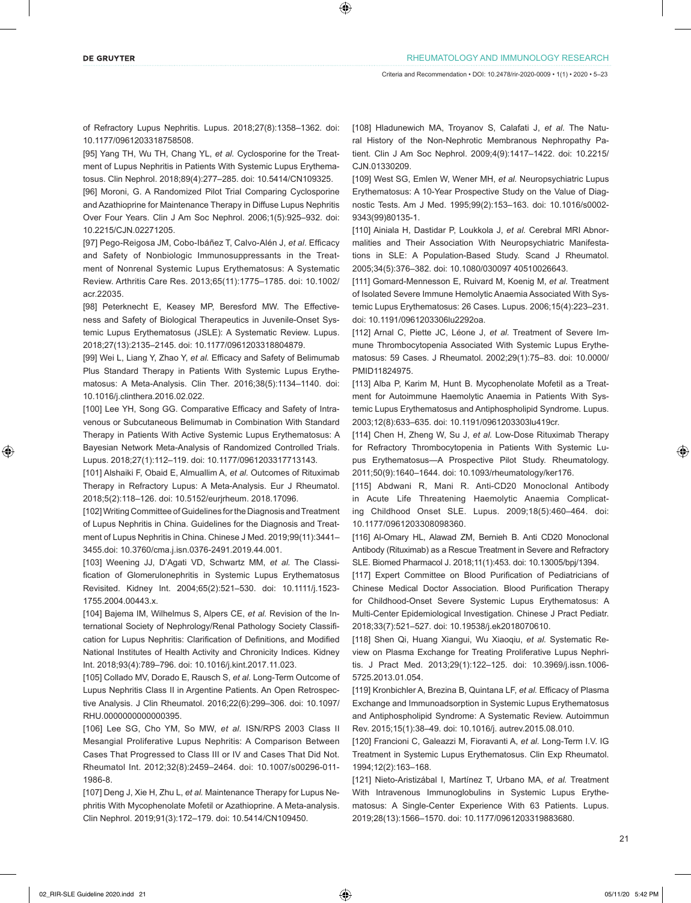of Refractory Lupus Nephritis. Lupus. 2018;27(8):1358–1362. doi: 10.1177/0961203318758508.

[95] Yang TH, Wu TH, Chang YL, *et al.* Cyclosporine for the Treatment of Lupus Nephritis in Patients With Systemic Lupus Erythematosus. Clin Nephrol. 2018;89(4):277–285. doi: 10.5414/CN109325.

[96] Moroni, G. A Randomized Pilot Trial Comparing Cyclosporine and Azathioprine for Maintenance Therapy in Diffuse Lupus Nephritis Over Four Years. Clin J Am Soc Nephrol. 2006;1(5):925–932. doi: 10.2215/CJN.02271205.

[97] Pego-Reigosa JM, Cobo-Ibáñez T, Calvo-Alén J, *et al.* Efficacy and Safety of Nonbiologic Immunosuppressants in the Treatment of Nonrenal Systemic Lupus Erythematosus: A Systematic Review. Arthritis Care Res. 2013;65(11):1775–1785. doi: 10.1002/ acr.22035.

[98] Peterknecht E, Keasey MP, Beresford MW. The Effectiveness and Safety of Biological Therapeutics in Juvenile-Onset Systemic Lupus Erythematosus (JSLE): A Systematic Review. Lupus. 2018;27(13):2135–2145. doi: 10.1177/0961203318804879.

[99] Wei L, Liang Y, Zhao Y, *et al.* Efficacy and Safety of Belimumab Plus Standard Therapy in Patients With Systemic Lupus Erythematosus: A Meta-Analysis. Clin Ther. 2016;38(5):1134–1140. doi: 10.1016/j.clinthera.2016.02.022.

[100] Lee YH, Song GG. Comparative Efficacy and Safety of Intravenous or Subcutaneous Belimumab in Combination With Standard Therapy in Patients With Active Systemic Lupus Erythematosus: A Bayesian Network Meta-Analysis of Randomized Controlled Trials. Lupus. 2018;27(1):112–119. doi: 10.1177/0961203317713143.

[101] Alshaiki F, Obaid E, Almuallim A, *et al.* Outcomes of Rituximab Therapy in Refractory Lupus: A Meta-Analysis. Eur J Rheumatol. 2018;5(2):118–126. doi: 10.5152/eurjrheum. 2018.17096.

[102] Writing Committee of Guidelines for the Diagnosis and Treatment of Lupus Nephritis in China. Guidelines for the Diagnosis and Treatment of Lupus Nephritis in China. Chinese J Med. 2019;99(11):3441– 3455.doi: 10.3760/cma.j.isn.0376-2491.2019.44.001.

[103] Weening JJ, D'Agati VD, Schwartz MM, *et al.* The Classification of Glomerulonephritis in Systemic Lupus Erythematosus Revisited. Kidney Int. 2004;65(2):521–530. doi: 10.1111/j.1523- 1755.2004.00443.x.

[104] Bajema IM, Wilhelmus S, Alpers CE, *et al.* Revision of the International Society of Nephrology/Renal Pathology Society Classification for Lupus Nephritis: Clarification of Definitions, and Modified National Institutes of Health Activity and Chronicity Indices. Kidney Int. 2018;93(4):789–796. doi: 10.1016/j.kint.2017.11.023.

[105] Collado MV, Dorado E, Rausch S, et al. Long-Term Outcome of Lupus Nephritis Class II in Argentine Patients. An Open Retrospective Analysis. J Clin Rheumatol. 2016;22(6):299–306. doi: 10.1097/ RHU.0000000000000395.

[106] Lee SG, Cho YM, So MW, et al. ISN/RPS 2003 Class II Mesangial Proliferative Lupus Nephritis: A Comparison Between Cases That Progressed to Class III or IV and Cases That Did Not. Rheumatol Int. 2012;32(8):2459–2464. doi: 10.1007/s00296-011- 1986-8.

[107] Deng J, Xie H, Zhu L, *et al.* Maintenance Therapy for Lupus Nephritis With Mycophenolate Mofetil or Azathioprine. A Meta-analysis. Clin Nephrol. 2019;91(3):172–179. doi: 10.5414/CN109450.

[108] Hladunewich MA, Troyanov S, Calafati J, *et al.* The Natural History of the Non-Nephrotic Membranous Nephropathy Patient. Clin J Am Soc Nephrol. 2009;4(9):1417–1422. doi: 10.2215/ CJN.01330209.

[109] West SG, Emlen W, Wener MH, *et al.* Neuropsychiatric Lupus Erythematosus: A 10-Year Prospective Study on the Value of Diagnostic Tests. Am J Med. 1995;99(2):153–163. doi: 10.1016/s0002- 9343(99)80135-1.

[110] Ainiala H, Dastidar P, Loukkola J, *et al.* Cerebral MRI Abnormalities and Their Association With Neuropsychiatric Manifestations in SLE: A Population-Based Study. Scand J Rheumatol. 2005;34(5):376–382. doi: 10.1080/030097 40510026643.

[111] Gomard-Mennesson E, Ruivard M, Koenig M, *et al.* Treatment of Isolated Severe Immune Hemolytic Anaemia Associated With Systemic Lupus Erythematosus: 26 Cases. Lupus. 2006;15(4):223–231. doi: 10.1191/0961203306lu2292oa.

[112] Arnal C, Piette JC, Léone J, et al. Treatment of Severe Immune Thrombocytopenia Associated With Systemic Lupus Erythematosus: 59 Cases. J Rheumatol. 2002;29(1):75–83. doi: 10.0000/ PMID11824975.

[113] Alba P, Karim M, Hunt B. Mycophenolate Mofetil as a Treatment for Autoimmune Haemolytic Anaemia in Patients With Systemic Lupus Erythematosus and Antiphospholipid Syndrome. Lupus. 2003;12(8):633–635. doi: 10.1191/0961203303lu419cr.

[114] Chen H, Zheng W, Su J, et al. Low-Dose Rituximab Therapy for Refractory Thrombocytopenia in Patients With Systemic Lupus Erythematosus—A Prospective Pilot Study. Rheumatology. 2011;50(9):1640–1644. doi: 10.1093/rheumatology/ker176.

[115] Abdwani R, Mani R. Anti-CD20 Monoclonal Antibody in Acute Life Threatening Haemolytic Anaemia Complicating Childhood Onset SLE. Lupus. 2009;18(5):460–464. doi: 10.1177/0961203308098360.

[116] Al-Omary HL, Alawad ZM, Bernieh B. Anti CD20 Monoclonal Antibody (Rituximab) as a Rescue Treatment in Severe and Refractory SLE. Biomed Pharmacol J. 2018;11(1):453. doi: 10.13005/bpj/1394.

[117] Expert Committee on Blood Purification of Pediatricians of Chinese Medical Doctor Association. Blood Purification Therapy for Childhood-Onset Severe Systemic Lupus Erythematosus: A Multi-Center Epidemiological Investigation. Chinese J Pract Pediatr. 2018;33(7):521–527. doi: 10.19538/j.ek2018070610.

[118] Shen Qi, Huang Xiangui, Wu Xiaoqiu, *et al.* Systematic Review on Plasma Exchange for Treating Proliferative Lupus Nephritis. J Pract Med. 2013;29(1):122–125. doi: 10.3969/j.issn.1006- 5725.2013.01.054.

[119] Kronbichler A, Brezina B, Quintana LF, *et al.* Efficacy of Plasma Exchange and Immunoadsorption in Systemic Lupus Erythematosus and Antiphospholipid Syndrome: A Systematic Review. Autoimmun Rev. 2015;15(1):38–49. doi: 10.1016/j. autrev.2015.08.010.

[120] Francioni C, Galeazzi M, Fioravanti A, *et al.* Long-Term I.V. IG Treatment in Systemic Lupus Erythematosus. Clin Exp Rheumatol. 1994;12(2):163–168.

[121] Nieto-Aristizábal I, Martínez T, Urbano MA, *et al.* Treatment With Intravenous Immunoglobulins in Systemic Lupus Erythematosus: A Single-Center Experience With 63 Patients. Lupus. 2019;28(13):1566–1570. doi: 10.1177/0961203319883680.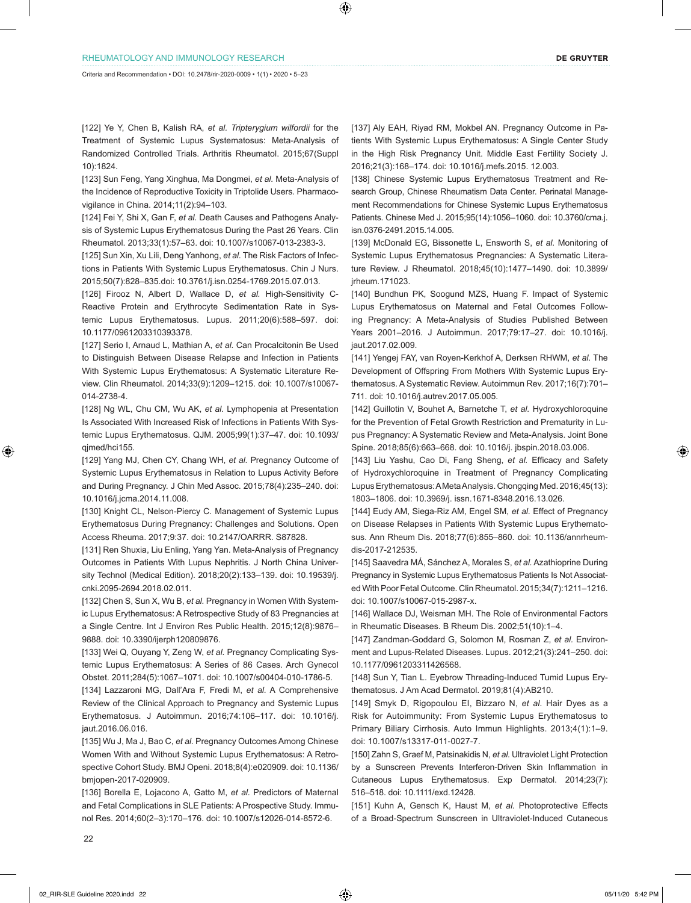[122] Ye Y, Chen B, Kalish RA, *et al. Tripterygium wilfordii* for the Treatment of Systemic Lupus Systematosus: Meta-Analysis of Randomized Controlled Trials. Arthritis Rheumatol. 2015;67(Suppl 10):1824.

[123] Sun Feng, Yang Xinghua, Ma Dongmei, *et al.* Meta-Analysis of the Incidence of Reproductive Toxicity in Triptolide Users. Pharmacovigilance in China. 2014;11(2):94–103.

[124] Fei Y, Shi X, Gan F, *et al.* Death Causes and Pathogens Analysis of Systemic Lupus Erythematosus During the Past 26 Years. Clin Rheumatol. 2013;33(1):57–63. doi: 10.1007/s10067-013-2383-3.

[125] Sun Xin, Xu Lili, Deng Yanhong, *et al.* The Risk Factors of Infections in Patients With Systemic Lupus Erythematosus. Chin J Nurs. 2015;50(7):828–835.doi: 10.3761/j.isn.0254-1769.2015.07.013.

[126] Firooz N, Albert D, Wallace D, et al. High-Sensitivity C-Reactive Protein and Erythrocyte Sedimentation Rate in Systemic Lupus Erythematosus. Lupus. 2011;20(6):588–597. doi: 10.1177/0961203310393378.

[127] Serio I, Arnaud L, Mathian A, *et al.* Can Procalcitonin Be Used to Distinguish Between Disease Relapse and Infection in Patients With Systemic Lupus Erythematosus: A Systematic Literature Review. Clin Rheumatol. 2014;33(9):1209–1215. doi: 10.1007/s10067- 014-2738-4.

[128] Ng WL, Chu CM, Wu AK, *et al.* Lymphopenia at Presentation Is Associated With Increased Risk of Infections in Patients With Systemic Lupus Erythematosus. QJM. 2005;99(1):37–47. doi: 10.1093/ qjmed/hci155.

[129] Yang MJ, Chen CY, Chang WH, et al. Pregnancy Outcome of Systemic Lupus Erythematosus in Relation to Lupus Activity Before and During Pregnancy. J Chin Med Assoc. 2015;78(4):235–240. doi: 10.1016/j.jcma.2014.11.008.

[130] Knight CL, Nelson-Piercy C. Management of Systemic Lupus Erythematosus During Pregnancy: Challenges and Solutions. Open Access Rheuma. 2017;9:37. doi: 10.2147/OARRR. S87828.

[131] Ren Shuxia, Liu Enling, Yang Yan. Meta-Analysis of Pregnancy Outcomes in Patients With Lupus Nephritis. J North China University Technol (Medical Edition). 2018;20(2):133–139. doi: 10.19539/j. cnki.2095-2694.2018.02.011.

[132] Chen S, Sun X, Wu B, et al. Pregnancy in Women With Systemic Lupus Erythematosus: A Retrospective Study of 83 Pregnancies at a Single Centre. Int J Environ Res Public Health. 2015;12(8):9876– 9888. doi: 10.3390/ijerph120809876.

[133] Wei Q, Ouyang Y, Zeng W, et al. Pregnancy Complicating Systemic Lupus Erythematosus: A Series of 86 Cases. Arch Gynecol Obstet. 2011;284(5):1067–1071. doi: 10.1007/s00404-010-1786-5.

[134] Lazzaroni MG, Dall'Ara F, Fredi M, *et al.* A Comprehensive Review of the Clinical Approach to Pregnancy and Systemic Lupus Erythematosus. J Autoimmun. 2016;74:106–117. doi: 10.1016/j. jaut.2016.06.016.

[135] Wu J, Ma J, Bao C, *et al.* Pregnancy Outcomes Among Chinese Women With and Without Systemic Lupus Erythematosus: A Retrospective Cohort Study. BMJ Openi. 2018;8(4):e020909. doi: 10.1136/ bmjopen-2017-020909.

[136] Borella E, Lojacono A, Gatto M, *et al.* Predictors of Maternal and Fetal Complications in SLE Patients: A Prospective Study. Immunol Res. 2014;60(2–3):170–176. doi: 10.1007/s12026-014-8572-6.

[137] Aly EAH, Riyad RM, Mokbel AN. Pregnancy Outcome in Patients With Systemic Lupus Erythematosus: A Single Center Study in the High Risk Pregnancy Unit. Middle East Fertility Society J. 2016;21(3):168–174. doi: 10.1016/j.mefs.2015. 12.003.

[138] Chinese Systemic Lupus Erythematosus Treatment and Research Group, Chinese Rheumatism Data Center. Perinatal Management Recommendations for Chinese Systemic Lupus Erythematosus Patients. Chinese Med J. 2015;95(14):1056–1060. doi: 10.3760/cma.j. isn.0376-2491.2015.14.005.

[139] McDonald EG, Bissonette L, Ensworth S, *et al. Monitoring of* Systemic Lupus Erythematosus Pregnancies: A Systematic Literature Review. J Rheumatol. 2018;45(10):1477–1490. doi: 10.3899/ jrheum.171023.

[140] Bundhun PK, Soogund MZS, Huang F. Impact of Systemic Lupus Erythematosus on Maternal and Fetal Outcomes Following Pregnancy: A Meta-Analysis of Studies Published Between Years 2001–2016. J Autoimmun. 2017;79:17–27. doi: 10.1016/j. jaut.2017.02.009.

[141] Yengej FAY, van Royen-Kerkhof A, Derksen RHWM, *et al.* The Development of Offspring From Mothers With Systemic Lupus Erythematosus. A Systematic Review. Autoimmun Rev. 2017;16(7):701– 711. doi: 10.1016/j.autrev.2017.05.005.

[142] Guillotin V, Bouhet A, Barnetche T, *et al.* Hydroxychloroquine for the Prevention of Fetal Growth Restriction and Prematurity in Lupus Pregnancy: A Systematic Review and Meta-Analysis. Joint Bone Spine. 2018;85(6):663–668. doi: 10.1016/j. jbspin.2018.03.006.

[143] Liu Yashu, Cao Di, Fang Sheng, et al. Efficacy and Safety of Hydroxychloroquine in Treatment of Pregnancy Complicating Lupus Erythematosus: A Meta Analysis. Chongqing Med. 2016;45(13): 1803–1806. doi: 10.3969/j. issn.1671-8348.2016.13.026.

[144] Eudy AM, Siega-Riz AM, Engel SM, et al. Effect of Pregnancy on Disease Relapses in Patients With Systemic Lupus Erythematosus. Ann Rheum Dis. 2018;77(6):855–860. doi: 10.1136/annrheumdis-2017-212535.

[145] Saavedra MÁ, Sánchez A, Morales S, *et al.* Azathioprine During Pregnancy in Systemic Lupus Erythematosus Patients Is Not Associated With Poor Fetal Outcome. Clin Rheumatol. 2015;34(7):1211–1216. doi: 10.1007/s10067-015-2987-x.

[146] Wallace DJ, Weisman MH. The Role of Environmental Factors in Rheumatic Diseases. B Rheum Dis. 2002;51(10):1–4.

[147] Zandman-Goddard G, Solomon M, Rosman Z, *et al.* Environment and Lupus-Related Diseases. Lupus. 2012;21(3):241–250. doi: 10.1177/0961203311426568.

[148] Sun Y, Tian L. Eyebrow Threading-Induced Tumid Lupus Erythematosus. J Am Acad Dermatol. 2019;81(4):AB210.

[149] Smyk D, Rigopoulou EI, Bizzaro N, *et al.* Hair Dyes as a Risk for Autoimmunity: From Systemic Lupus Erythematosus to Primary Biliary Cirrhosis. Auto Immun Highlights. 2013;4(1):1–9. doi: 10.1007/s13317-011-0027-7.

[150] Zahn S, Graef M, Patsinakidis N, *et al.* Ultraviolet Light Protection by a Sunscreen Prevents Interferon-Driven Skin Inflammation in Cutaneous Lupus Erythematosus. Exp Dermatol. 2014;23(7): 516–518. doi: 10.1111/exd.12428.

[151] Kuhn A, Gensch K, Haust M, *et al.* Photoprotective Effects of a Broad-Spectrum Sunscreen in Ultraviolet-Induced Cutaneous